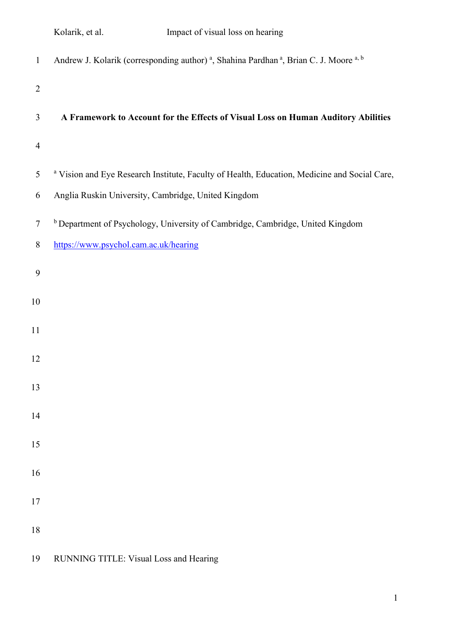| Kolarik, et al. |  |  |  |
|-----------------|--|--|--|
|-----------------|--|--|--|

| $\mathbf{1}$   | Andrew J. Kolarik (corresponding author) <sup>a</sup> , Shahina Pardhan <sup>a</sup> , Brian C. J. Moore <sup>a, b</sup> |
|----------------|--------------------------------------------------------------------------------------------------------------------------|
| $\overline{2}$ |                                                                                                                          |
| 3              | A Framework to Account for the Effects of Visual Loss on Human Auditory Abilities                                        |
| $\overline{4}$ |                                                                                                                          |
| 5              | <sup>a</sup> Vision and Eye Research Institute, Faculty of Health, Education, Medicine and Social Care,                  |
| 6              | Anglia Ruskin University, Cambridge, United Kingdom                                                                      |
| $\tau$         | <sup>b</sup> Department of Psychology, University of Cambridge, Cambridge, United Kingdom                                |
| 8              | https://www.psychol.cam.ac.uk/hearing                                                                                    |
| 9              |                                                                                                                          |
| $10\,$         |                                                                                                                          |
| 11             |                                                                                                                          |
| 12             |                                                                                                                          |
| 13             |                                                                                                                          |
| 14             |                                                                                                                          |
|                |                                                                                                                          |
| 15             |                                                                                                                          |
| 16             |                                                                                                                          |
| 17             |                                                                                                                          |
| 18             |                                                                                                                          |
|                |                                                                                                                          |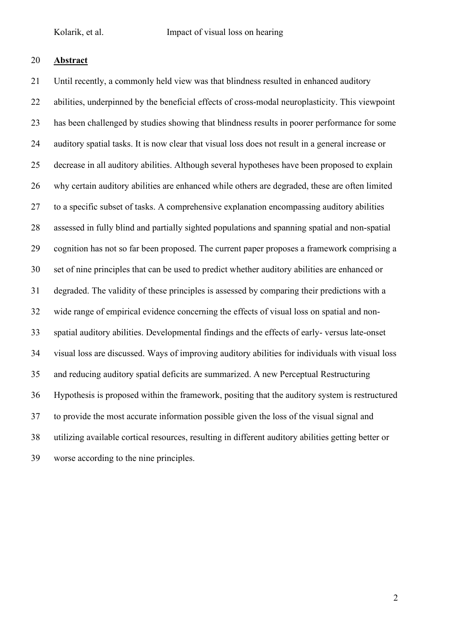# **Abstract**

 Until recently, a commonly held view was that blindness resulted in enhanced auditory abilities, underpinned by the beneficial effects of cross-modal neuroplasticity. This viewpoint has been challenged by studies showing that blindness results in poorer performance for some auditory spatial tasks. It is now clear that visual loss does not result in a general increase or decrease in all auditory abilities. Although several hypotheses have been proposed to explain why certain auditory abilities are enhanced while others are degraded, these are often limited to a specific subset of tasks. A comprehensive explanation encompassing auditory abilities assessed in fully blind and partially sighted populations and spanning spatial and non-spatial cognition has not so far been proposed. The current paper proposes a framework comprising a set of nine principles that can be used to predict whether auditory abilities are enhanced or degraded. The validity of these principles is assessed by comparing their predictions with a wide range of empirical evidence concerning the effects of visual loss on spatial and non- spatial auditory abilities. Developmental findings and the effects of early- versus late-onset visual loss are discussed. Ways of improving auditory abilities for individuals with visual loss and reducing auditory spatial deficits are summarized. A new Perceptual Restructuring Hypothesis is proposed within the framework, positing that the auditory system is restructured to provide the most accurate information possible given the loss of the visual signal and utilizing available cortical resources, resulting in different auditory abilities getting better or worse according to the nine principles.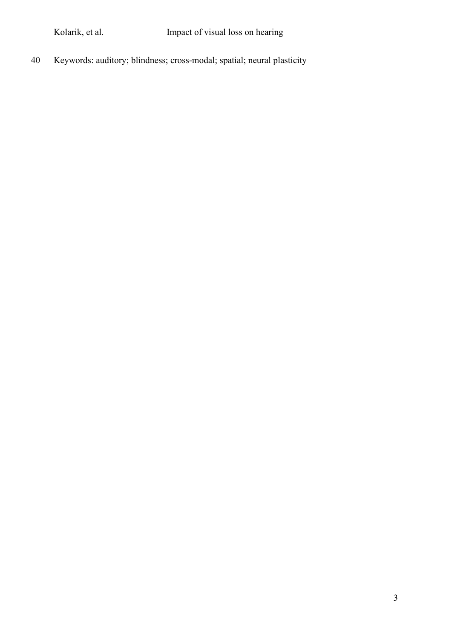Keywords: auditory; blindness; cross-modal; spatial; neural plasticity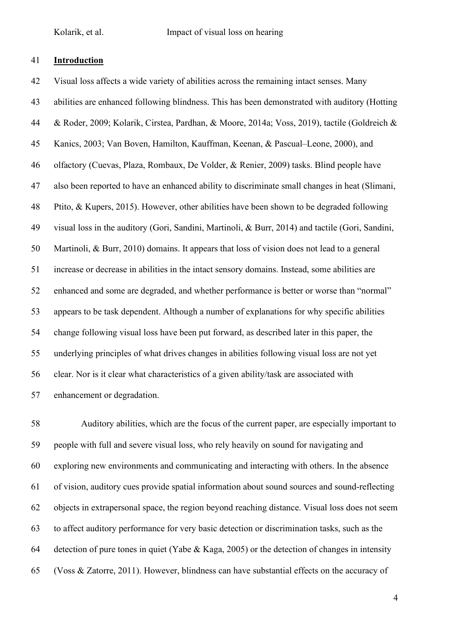#### **Introduction**

 Visual loss affects a wide variety of abilities across the remaining intact senses. Many abilities are enhanced following blindness. This has been demonstrated with auditory (Hotting & Roder, 2009; Kolarik, Cirstea, Pardhan, & Moore, 2014a; Voss, 2019), tactile (Goldreich & Kanics, 2003; Van Boven, Hamilton, Kauffman, Keenan, & Pascual–Leone, 2000), and olfactory (Cuevas, Plaza, Rombaux, De Volder, & Renier, 2009) tasks. Blind people have also been reported to have an enhanced ability to discriminate small changes in heat (Slimani, Ptito, & Kupers, 2015). However, other abilities have been shown to be degraded following visual loss in the auditory (Gori, Sandini, Martinoli, & Burr, 2014) and tactile (Gori, Sandini, Martinoli, & Burr, 2010) domains. It appears that loss of vision does not lead to a general increase or decrease in abilities in the intact sensory domains. Instead, some abilities are enhanced and some are degraded, and whether performance is better or worse than "normal" appears to be task dependent. Although a number of explanations for why specific abilities change following visual loss have been put forward, as described later in this paper, the underlying principles of what drives changes in abilities following visual loss are not yet clear. Nor is it clear what characteristics of a given ability/task are associated with enhancement or degradation.

 Auditory abilities, which are the focus of the current paper, are especially important to people with full and severe visual loss, who rely heavily on sound for navigating and exploring new environments and communicating and interacting with others. In the absence of vision, auditory cues provide spatial information about sound sources and sound-reflecting objects in extrapersonal space, the region beyond reaching distance. Visual loss does not seem to affect auditory performance for very basic detection or discrimination tasks, such as the detection of pure tones in quiet (Yabe & Kaga, 2005) or the detection of changes in intensity (Voss & Zatorre, 2011). However, blindness can have substantial effects on the accuracy of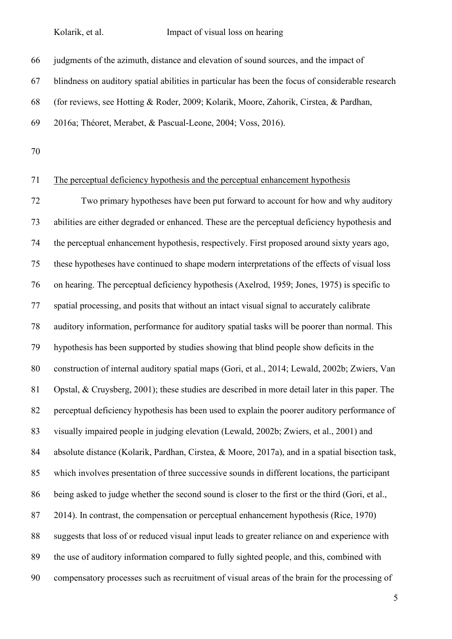judgments of the azimuth, distance and elevation of sound sources, and the impact of

blindness on auditory spatial abilities in particular has been the focus of considerable research

(for reviews, see Hotting & Roder, 2009; Kolarik, Moore, Zahorik, Cirstea, & Pardhan,

2016a; Théoret, Merabet, & Pascual-Leone, 2004; Voss, 2016).

#### The perceptual deficiency hypothesis and the perceptual enhancement hypothesis

 Two primary hypotheses have been put forward to account for how and why auditory abilities are either degraded or enhanced. These are the perceptual deficiency hypothesis and the perceptual enhancement hypothesis, respectively. First proposed around sixty years ago, these hypotheses have continued to shape modern interpretations of the effects of visual loss on hearing. The perceptual deficiency hypothesis (Axelrod, 1959; Jones, 1975) is specific to spatial processing, and posits that without an intact visual signal to accurately calibrate auditory information, performance for auditory spatial tasks will be poorer than normal. This hypothesis has been supported by studies showing that blind people show deficits in the construction of internal auditory spatial maps (Gori, et al., 2014; Lewald, 2002b; Zwiers, Van Opstal, & Cruysberg, 2001); these studies are described in more detail later in this paper. The perceptual deficiency hypothesis has been used to explain the poorer auditory performance of visually impaired people in judging elevation (Lewald, 2002b; Zwiers, et al., 2001) and absolute distance (Kolarik, Pardhan, Cirstea, & Moore, 2017a), and in a spatial bisection task, which involves presentation of three successive sounds in different locations, the participant 86 being asked to judge whether the second sound is closer to the first or the third (Gori, et al., 2014). In contrast, the compensation or perceptual enhancement hypothesis (Rice, 1970) suggests that loss of or reduced visual input leads to greater reliance on and experience with the use of auditory information compared to fully sighted people, and this, combined with compensatory processes such as recruitment of visual areas of the brain for the processing of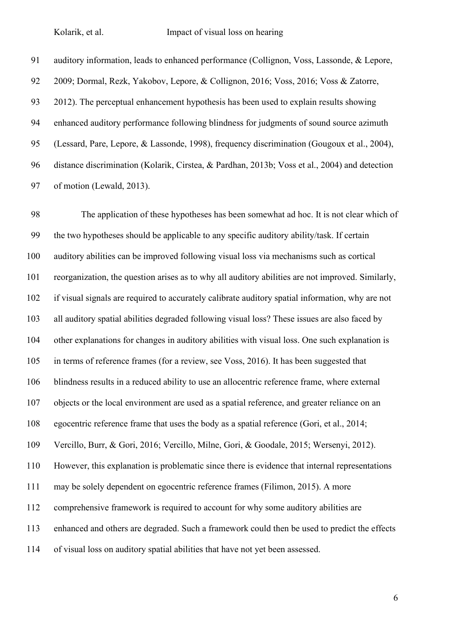auditory information, leads to enhanced performance (Collignon, Voss, Lassonde, & Lepore, 2009; Dormal, Rezk, Yakobov, Lepore, & Collignon, 2016; Voss, 2016; Voss & Zatorre, 2012). The perceptual enhancement hypothesis has been used to explain results showing enhanced auditory performance following blindness for judgments of sound source azimuth (Lessard, Pare, Lepore, & Lassonde, 1998), frequency discrimination (Gougoux et al., 2004), distance discrimination (Kolarik, Cirstea, & Pardhan, 2013b; Voss et al., 2004) and detection of motion (Lewald, 2013).

 The application of these hypotheses has been somewhat ad hoc. It is not clear which of the two hypotheses should be applicable to any specific auditory ability/task. If certain auditory abilities can be improved following visual loss via mechanisms such as cortical reorganization, the question arises as to why all auditory abilities are not improved. Similarly, if visual signals are required to accurately calibrate auditory spatial information, why are not all auditory spatial abilities degraded following visual loss? These issues are also faced by other explanations for changes in auditory abilities with visual loss. One such explanation is in terms of reference frames (for a review, see Voss, 2016). It has been suggested that blindness results in a reduced ability to use an allocentric reference frame, where external objects or the local environment are used as a spatial reference, and greater reliance on an egocentric reference frame that uses the body as a spatial reference (Gori, et al., 2014; Vercillo, Burr, & Gori, 2016; Vercillo, Milne, Gori, & Goodale, 2015; Wersenyi, 2012). However, this explanation is problematic since there is evidence that internal representations may be solely dependent on egocentric reference frames (Filimon, 2015). A more comprehensive framework is required to account for why some auditory abilities are enhanced and others are degraded. Such a framework could then be used to predict the effects of visual loss on auditory spatial abilities that have not yet been assessed.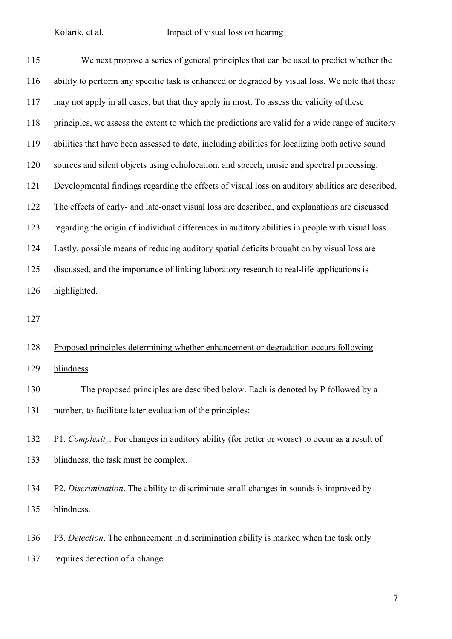| 115 | We next propose a series of general principles that can be used to predict whether the           |
|-----|--------------------------------------------------------------------------------------------------|
| 116 | ability to perform any specific task is enhanced or degraded by visual loss. We note that these  |
| 117 | may not apply in all cases, but that they apply in most. To assess the validity of these         |
| 118 | principles, we assess the extent to which the predictions are valid for a wide range of auditory |
| 119 | abilities that have been assessed to date, including abilities for localizing both active sound  |
| 120 | sources and silent objects using echolocation, and speech, music and spectral processing.        |
| 121 | Developmental findings regarding the effects of visual loss on auditory abilities are described. |
| 122 | The effects of early- and late-onset visual loss are described, and explanations are discussed   |
| 123 | regarding the origin of individual differences in auditory abilities in people with visual loss. |
| 124 | Lastly, possible means of reducing auditory spatial deficits brought on by visual loss are       |
| 125 | discussed, and the importance of linking laboratory research to real-life applications is        |
| 126 | highlighted.                                                                                     |
| 127 |                                                                                                  |
| 128 | Proposed principles determining whether enhancement or degradation occurs following              |
| 129 | blindness                                                                                        |
| 130 | The proposed principles are described below. Each is denoted by P followed by a                  |
| 131 | number, to facilitate later evaluation of the principles:                                        |
| 132 | P1. Complexity. For changes in auditory ability (for better or worse) to occur as a result of    |
| 133 | blindness, the task must be complex.                                                             |

 P2. *Discrimination*. The ability to discriminate small changes in sounds is improved by blindness.

 P3. *Detection*. The enhancement in discrimination ability is marked when the task only requires detection of a change.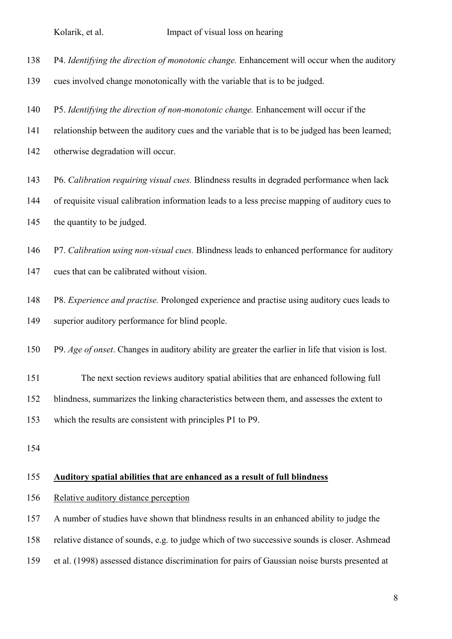| 138 |  |  | P4. Identifying the direction of monotonic change. Enhancement will occur when the auditory |
|-----|--|--|---------------------------------------------------------------------------------------------|
|     |  |  |                                                                                             |

- cues involved change monotonically with the variable that is to be judged.
- P5. *Identifying the direction of non-monotonic change.* Enhancement will occur if the
- relationship between the auditory cues and the variable that is to be judged has been learned;
- otherwise degradation will occur.
- P6. *Calibration requiring visual cues.* Blindness results in degraded performance when lack
- of requisite visual calibration information leads to a less precise mapping of auditory cues to the quantity to be judged.
- P7. *Calibration using non-visual cues.* Blindness leads to enhanced performance for auditory
- cues that can be calibrated without vision.
- P8. *Experience and practise.* Prolonged experience and practise using auditory cues leads to superior auditory performance for blind people.
- P9. *Age of onset*. Changes in auditory ability are greater the earlier in life that vision is lost.
- The next section reviews auditory spatial abilities that are enhanced following full blindness, summarizes the linking characteristics between them, and assesses the extent to which the results are consistent with principles P1 to P9.
- 

#### **Auditory spatial abilities that are enhanced as a result of full blindness**

- Relative auditory distance perception
- A number of studies have shown that blindness results in an enhanced ability to judge the
- relative distance of sounds, e.g. to judge which of two successive sounds is closer. Ashmead
- et al. (1998) assessed distance discrimination for pairs of Gaussian noise bursts presented at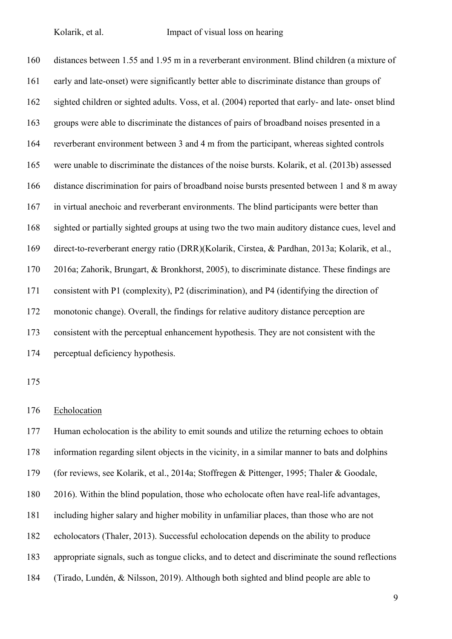distances between 1.55 and 1.95 m in a reverberant environment. Blind children (a mixture of early and late-onset) were significantly better able to discriminate distance than groups of sighted children or sighted adults. Voss, et al. (2004) reported that early- and late- onset blind groups were able to discriminate the distances of pairs of broadband noises presented in a reverberant environment between 3 and 4 m from the participant, whereas sighted controls were unable to discriminate the distances of the noise bursts. Kolarik, et al. (2013b) assessed distance discrimination for pairs of broadband noise bursts presented between 1 and 8 m away in virtual anechoic and reverberant environments. The blind participants were better than sighted or partially sighted groups at using two the two main auditory distance cues, level and direct-to-reverberant energy ratio (DRR)(Kolarik, Cirstea, & Pardhan, 2013a; Kolarik, et al., 2016a; Zahorik, Brungart, & Bronkhorst, 2005), to discriminate distance. These findings are consistent with P1 (complexity), P2 (discrimination), and P4 (identifying the direction of monotonic change). Overall, the findings for relative auditory distance perception are consistent with the perceptual enhancement hypothesis. They are not consistent with the perceptual deficiency hypothesis.

#### Echolocation

 Human echolocation is the ability to emit sounds and utilize the returning echoes to obtain information regarding silent objects in the vicinity, in a similar manner to bats and dolphins (for reviews, see Kolarik, et al., 2014a; Stoffregen & Pittenger, 1995; Thaler & Goodale, 2016). Within the blind population, those who echolocate often have real-life advantages, including higher salary and higher mobility in unfamiliar places, than those who are not echolocators (Thaler, 2013). Successful echolocation depends on the ability to produce appropriate signals, such as tongue clicks, and to detect and discriminate the sound reflections (Tirado, Lundén, & Nilsson, 2019). Although both sighted and blind people are able to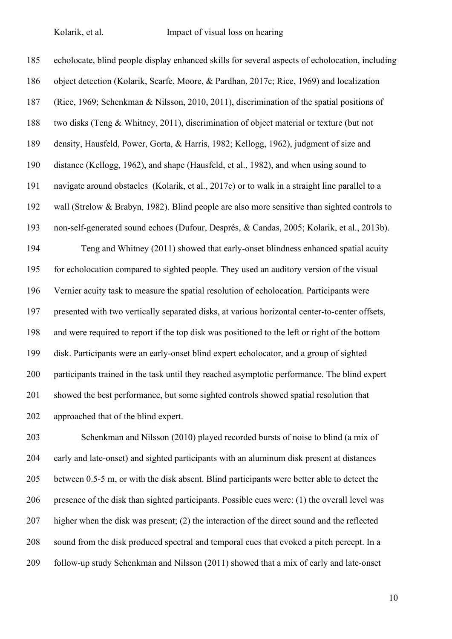echolocate, blind people display enhanced skills for several aspects of echolocation, including object detection (Kolarik, Scarfe, Moore, & Pardhan, 2017c; Rice, 1969) and localization (Rice, 1969; Schenkman & Nilsson, 2010, 2011), discrimination of the spatial positions of two disks (Teng & Whitney, 2011), discrimination of object material or texture (but not density, Hausfeld, Power, Gorta, & Harris, 1982; Kellogg, 1962), judgment of size and distance (Kellogg, 1962), and shape (Hausfeld, et al., 1982), and when using sound to navigate around obstacles (Kolarik, et al., 2017c) or to walk in a straight line parallel to a wall (Strelow & Brabyn, 1982). Blind people are also more sensitive than sighted controls to non-self-generated sound echoes (Dufour, Després, & Candas, 2005; Kolarik, et al., 2013b). Teng and Whitney (2011) showed that early-onset blindness enhanced spatial acuity for echolocation compared to sighted people. They used an auditory version of the visual Vernier acuity task to measure the spatial resolution of echolocation. Participants were presented with two vertically separated disks, at various horizontal center-to-center offsets, and were required to report if the top disk was positioned to the left or right of the bottom disk. Participants were an early-onset blind expert echolocator, and a group of sighted participants trained in the task until they reached asymptotic performance. The blind expert showed the best performance, but some sighted controls showed spatial resolution that approached that of the blind expert.

 Schenkman and Nilsson (2010) played recorded bursts of noise to blind (a mix of early and late-onset) and sighted participants with an aluminum disk present at distances between 0.5-5 m, or with the disk absent. Blind participants were better able to detect the presence of the disk than sighted participants. Possible cues were: (1) the overall level was higher when the disk was present; (2) the interaction of the direct sound and the reflected sound from the disk produced spectral and temporal cues that evoked a pitch percept. In a follow-up study Schenkman and Nilsson (2011) showed that a mix of early and late-onset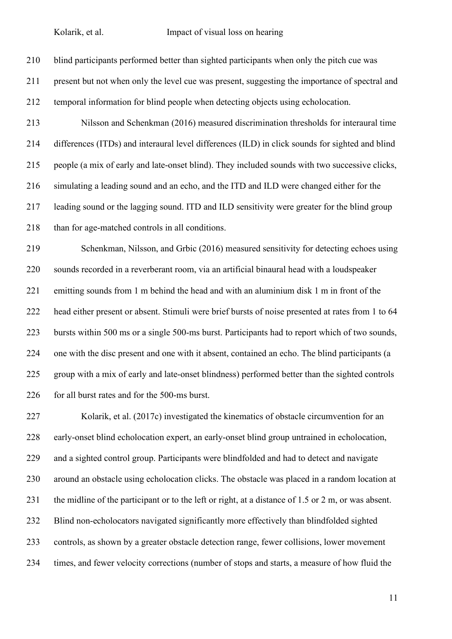blind participants performed better than sighted participants when only the pitch cue was present but not when only the level cue was present, suggesting the importance of spectral and temporal information for blind people when detecting objects using echolocation. Nilsson and Schenkman (2016) measured discrimination thresholds for interaural time differences (ITDs) and interaural level differences (ILD) in click sounds for sighted and blind people (a mix of early and late-onset blind). They included sounds with two successive clicks, simulating a leading sound and an echo, and the ITD and ILD were changed either for the leading sound or the lagging sound. ITD and ILD sensitivity were greater for the blind group than for age-matched controls in all conditions. Schenkman, Nilsson, and Grbic (2016) measured sensitivity for detecting echoes using sounds recorded in a reverberant room, via an artificial binaural head with a loudspeaker

 emitting sounds from 1 m behind the head and with an aluminium disk 1 m in front of the head either present or absent. Stimuli were brief bursts of noise presented at rates from 1 to 64 bursts within 500 ms or a single 500-ms burst. Participants had to report which of two sounds, one with the disc present and one with it absent, contained an echo. The blind participants (a group with a mix of early and late-onset blindness) performed better than the sighted controls for all burst rates and for the 500-ms burst.

 Kolarik, et al. (2017c) investigated the kinematics of obstacle circumvention for an early-onset blind echolocation expert, an early-onset blind group untrained in echolocation, and a sighted control group. Participants were blindfolded and had to detect and navigate around an obstacle using echolocation clicks. The obstacle was placed in a random location at the midline of the participant or to the left or right, at a distance of 1.5 or 2 m, or was absent. Blind non-echolocators navigated significantly more effectively than blindfolded sighted controls, as shown by a greater obstacle detection range, fewer collisions, lower movement times, and fewer velocity corrections (number of stops and starts, a measure of how fluid the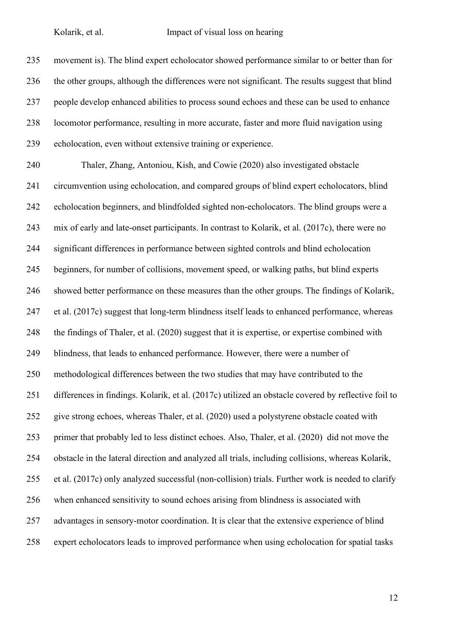movement is). The blind expert echolocator showed performance similar to or better than for the other groups, although the differences were not significant. The results suggest that blind people develop enhanced abilities to process sound echoes and these can be used to enhance locomotor performance, resulting in more accurate, faster and more fluid navigation using echolocation, even without extensive training or experience.

 Thaler, Zhang, Antoniou, Kish, and Cowie (2020) also investigated obstacle circumvention using echolocation, and compared groups of blind expert echolocators, blind echolocation beginners, and blindfolded sighted non-echolocators. The blind groups were a mix of early and late-onset participants. In contrast to Kolarik, et al. (2017c), there were no significant differences in performance between sighted controls and blind echolocation beginners, for number of collisions, movement speed, or walking paths, but blind experts showed better performance on these measures than the other groups. The findings of Kolarik, et al. (2017c) suggest that long-term blindness itself leads to enhanced performance, whereas the findings of Thaler, et al. (2020) suggest that it is expertise, or expertise combined with 249 blindness, that leads to enhanced performance. However, there were a number of methodological differences between the two studies that may have contributed to the differences in findings. Kolarik, et al. (2017c) utilized an obstacle covered by reflective foil to give strong echoes, whereas Thaler, et al. (2020) used a polystyrene obstacle coated with primer that probably led to less distinct echoes. Also, Thaler, et al. (2020) did not move the obstacle in the lateral direction and analyzed all trials, including collisions, whereas Kolarik, et al. (2017c) only analyzed successful (non-collision) trials. Further work is needed to clarify when enhanced sensitivity to sound echoes arising from blindness is associated with advantages in sensory-motor coordination. It is clear that the extensive experience of blind expert echolocators leads to improved performance when using echolocation for spatial tasks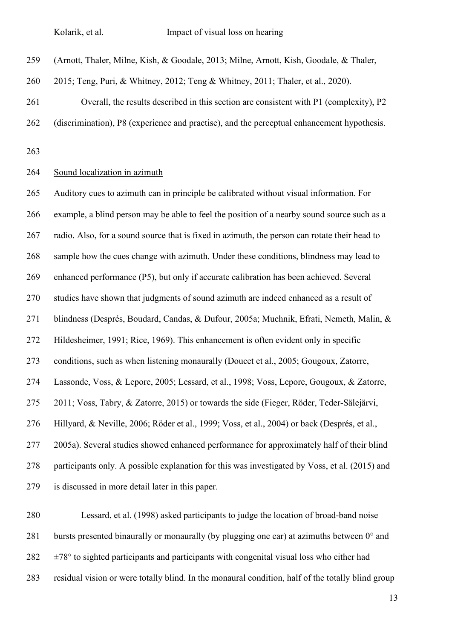(Arnott, Thaler, Milne, Kish, & Goodale, 2013; Milne, Arnott, Kish, Goodale, & Thaler,

2015; Teng, Puri, & Whitney, 2012; Teng & Whitney, 2011; Thaler, et al., 2020).

 Overall, the results described in this section are consistent with P1 (complexity), P2 (discrimination), P8 (experience and practise), and the perceptual enhancement hypothesis.

#### Sound localization in azimuth

 Auditory cues to azimuth can in principle be calibrated without visual information. For example, a blind person may be able to feel the position of a nearby sound source such as a radio. Also, for a sound source that is fixed in azimuth, the person can rotate their head to sample how the cues change with azimuth. Under these conditions, blindness may lead to enhanced performance (P5), but only if accurate calibration has been achieved. Several studies have shown that judgments of sound azimuth are indeed enhanced as a result of blindness (Després, Boudard, Candas, & Dufour, 2005a; Muchnik, Efrati, Nemeth, Malin, & Hildesheimer, 1991; Rice, 1969). This enhancement is often evident only in specific conditions, such as when listening monaurally (Doucet et al., 2005; Gougoux, Zatorre, Lassonde, Voss, & Lepore, 2005; Lessard, et al., 1998; Voss, Lepore, Gougoux, & Zatorre, 2011; Voss, Tabry, & Zatorre, 2015) or towards the side (Fieger, Röder, Teder-Sälejärvi, Hillyard, & Neville, 2006; Röder et al., 1999; Voss, et al., 2004) or back (Després, et al., 2005a). Several studies showed enhanced performance for approximately half of their blind participants only. A possible explanation for this was investigated by Voss, et al. (2015) and is discussed in more detail later in this paper.

 Lessard, et al. (1998) asked participants to judge the location of broad-band noise 281 bursts presented binaurally or monaurally (by plugging one ear) at azimuths between  $0^{\circ}$  and  $282 \pm 78^\circ$  to sighted participants and participants with congenital visual loss who either had residual vision or were totally blind. In the monaural condition, half of the totally blind group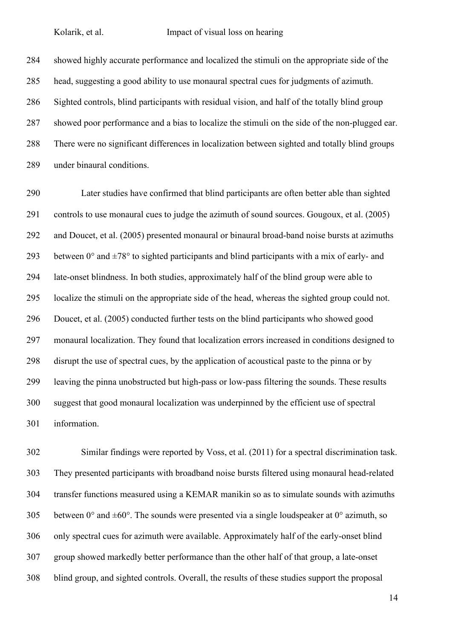showed highly accurate performance and localized the stimuli on the appropriate side of the head, suggesting a good ability to use monaural spectral cues for judgments of azimuth. Sighted controls, blind participants with residual vision, and half of the totally blind group showed poor performance and a bias to localize the stimuli on the side of the non-plugged ear. There were no significant differences in localization between sighted and totally blind groups under binaural conditions.

 Later studies have confirmed that blind participants are often better able than sighted controls to use monaural cues to judge the azimuth of sound sources. Gougoux, et al. (2005) and Doucet, et al. (2005) presented monaural or binaural broad-band noise bursts at azimuths 293 between  $0^{\circ}$  and  $\pm 78^{\circ}$  to sighted participants and blind participants with a mix of early- and late-onset blindness. In both studies, approximately half of the blind group were able to localize the stimuli on the appropriate side of the head, whereas the sighted group could not. Doucet, et al. (2005) conducted further tests on the blind participants who showed good monaural localization. They found that localization errors increased in conditions designed to disrupt the use of spectral cues, by the application of acoustical paste to the pinna or by leaving the pinna unobstructed but high-pass or low-pass filtering the sounds. These results suggest that good monaural localization was underpinned by the efficient use of spectral information.

 Similar findings were reported by Voss, et al. (2011) for a spectral discrimination task. They presented participants with broadband noise bursts filtered using monaural head-related transfer functions measured using a KEMAR manikin so as to simulate sounds with azimuths 305 between  $0^{\circ}$  and  $\pm 60^{\circ}$ . The sounds were presented via a single loudspeaker at  $0^{\circ}$  azimuth, so only spectral cues for azimuth were available. Approximately half of the early-onset blind group showed markedly better performance than the other half of that group, a late-onset blind group, and sighted controls. Overall, the results of these studies support the proposal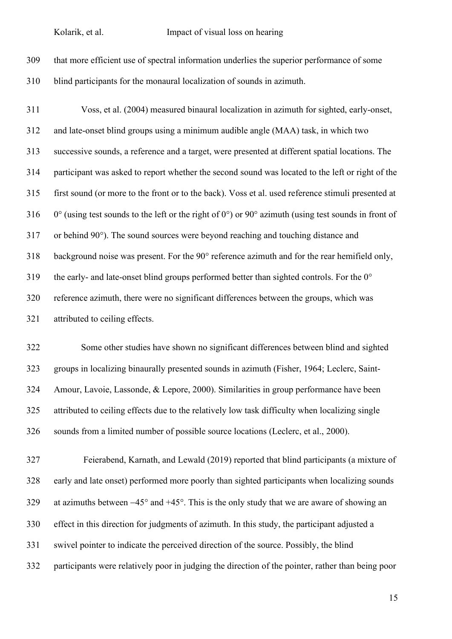

 Voss, et al. (2004) measured binaural localization in azimuth for sighted, early-onset, and late-onset blind groups using a minimum audible angle (MAA) task, in which two successive sounds, a reference and a target, were presented at different spatial locations. The participant was asked to report whether the second sound was located to the left or right of the first sound (or more to the front or to the back). Voss et al. used reference stimuli presented at 316 0° (using test sounds to the left or the right of 0°) or 90° azimuth (using test sounds in front of or behind 90°). The sound sources were beyond reaching and touching distance and background noise was present. For the 90° reference azimuth and for the rear hemifield only, 319 the early- and late-onset blind groups performed better than sighted controls. For the  $0^{\circ}$  reference azimuth, there were no significant differences between the groups, which was attributed to ceiling effects.

 Some other studies have shown no significant differences between blind and sighted groups in localizing binaurally presented sounds in azimuth (Fisher, 1964; Leclerc, Saint- Amour, Lavoie, Lassonde, & Lepore, 2000). Similarities in group performance have been attributed to ceiling effects due to the relatively low task difficulty when localizing single sounds from a limited number of possible source locations (Leclerc, et al., 2000).

 Feierabend, Karnath, and Lewald (2019) reported that blind participants (a mixture of early and late onset) performed more poorly than sighted participants when localizing sounds at azimuths between −45° and +45°. This is the only study that we are aware of showing an effect in this direction for judgments of azimuth. In this study, the participant adjusted a swivel pointer to indicate the perceived direction of the source. Possibly, the blind participants were relatively poor in judging the direction of the pointer, rather than being poor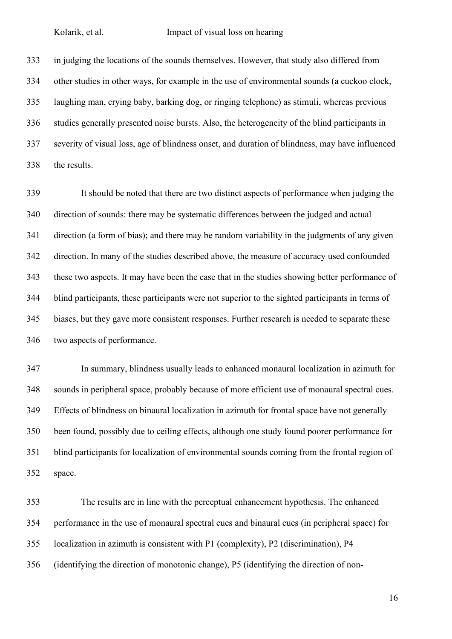in judging the locations of the sounds themselves. However, that study also differed from other studies in other ways, for example in the use of environmental sounds (a cuckoo clock, laughing man, crying baby, barking dog, or ringing telephone) as stimuli, whereas previous studies generally presented noise bursts. Also, the heterogeneity of the blind participants in severity of visual loss, age of blindness onset, and duration of blindness, may have influenced the results.

 It should be noted that there are two distinct aspects of performance when judging the direction of sounds: there may be systematic differences between the judged and actual direction (a form of bias); and there may be random variability in the judgments of any given direction. In many of the studies described above, the measure of accuracy used confounded these two aspects. It may have been the case that in the studies showing better performance of blind participants, these participants were not superior to the sighted participants in terms of biases, but they gave more consistent responses. Further research is needed to separate these two aspects of performance.

 In summary, blindness usually leads to enhanced monaural localization in azimuth for sounds in peripheral space, probably because of more efficient use of monaural spectral cues. Effects of blindness on binaural localization in azimuth for frontal space have not generally been found, possibly due to ceiling effects, although one study found poorer performance for blind participants for localization of environmental sounds coming from the frontal region of space.

 The results are in line with the perceptual enhancement hypothesis. The enhanced performance in the use of monaural spectral cues and binaural cues (in peripheral space) for localization in azimuth is consistent with P1 (complexity), P2 (discrimination), P4 (identifying the direction of monotonic change), P5 (identifying the direction of non-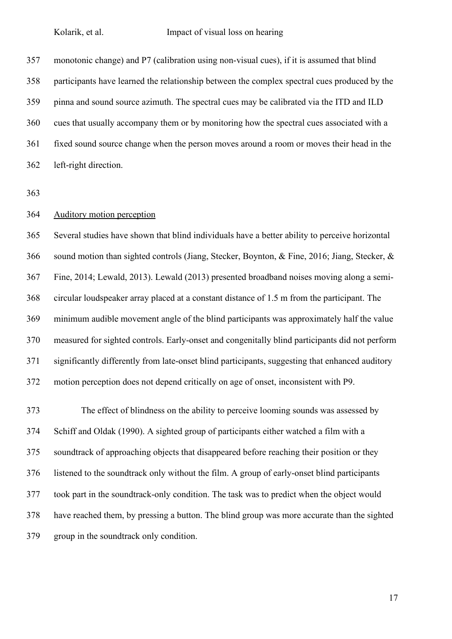monotonic change) and P7 (calibration using non-visual cues), if it is assumed that blind participants have learned the relationship between the complex spectral cues produced by the pinna and sound source azimuth. The spectral cues may be calibrated via the ITD and ILD cues that usually accompany them or by monitoring how the spectral cues associated with a fixed sound source change when the person moves around a room or moves their head in the left-right direction.

# Auditory motion perception

 Several studies have shown that blind individuals have a better ability to perceive horizontal sound motion than sighted controls (Jiang, Stecker, Boynton, & Fine, 2016; Jiang, Stecker, & Fine, 2014; Lewald, 2013). Lewald (2013) presented broadband noises moving along a semi- circular loudspeaker array placed at a constant distance of 1.5 m from the participant. The minimum audible movement angle of the blind participants was approximately half the value measured for sighted controls. Early-onset and congenitally blind participants did not perform significantly differently from late-onset blind participants, suggesting that enhanced auditory motion perception does not depend critically on age of onset, inconsistent with P9.

 The effect of blindness on the ability to perceive looming sounds was assessed by Schiff and Oldak (1990). A sighted group of participants either watched a film with a soundtrack of approaching objects that disappeared before reaching their position or they listened to the soundtrack only without the film. A group of early-onset blind participants took part in the soundtrack-only condition. The task was to predict when the object would have reached them, by pressing a button. The blind group was more accurate than the sighted group in the soundtrack only condition.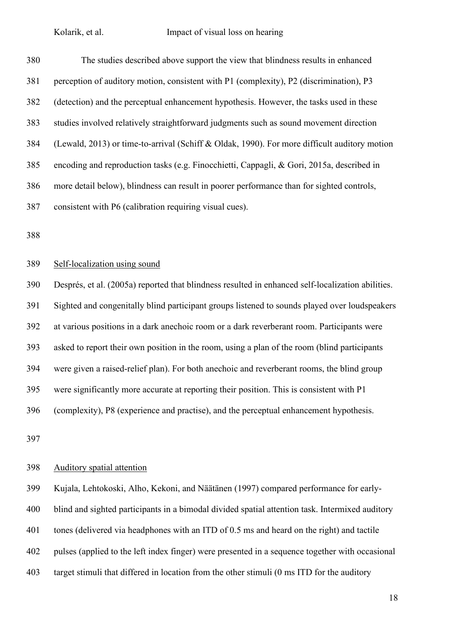The studies described above support the view that blindness results in enhanced perception of auditory motion, consistent with P1 (complexity), P2 (discrimination), P3 (detection) and the perceptual enhancement hypothesis. However, the tasks used in these studies involved relatively straightforward judgments such as sound movement direction (Lewald, 2013) or time-to-arrival (Schiff & Oldak, 1990). For more difficult auditory motion encoding and reproduction tasks (e.g. Finocchietti, Cappagli, & Gori, 2015a, described in more detail below), blindness can result in poorer performance than for sighted controls, consistent with P6 (calibration requiring visual cues).

#### Self-localization using sound

 Després, et al. (2005a) reported that blindness resulted in enhanced self-localization abilities. Sighted and congenitally blind participant groups listened to sounds played over loudspeakers at various positions in a dark anechoic room or a dark reverberant room. Participants were asked to report their own position in the room, using a plan of the room (blind participants were given a raised-relief plan). For both anechoic and reverberant rooms, the blind group were significantly more accurate at reporting their position. This is consistent with P1 (complexity), P8 (experience and practise), and the perceptual enhancement hypothesis.

#### Auditory spatial attention

 Kujala, Lehtokoski, Alho, Kekoni, and Näätänen (1997) compared performance for early- blind and sighted participants in a bimodal divided spatial attention task. Intermixed auditory tones (delivered via headphones with an ITD of 0.5 ms and heard on the right) and tactile pulses (applied to the left index finger) were presented in a sequence together with occasional target stimuli that differed in location from the other stimuli (0 ms ITD for the auditory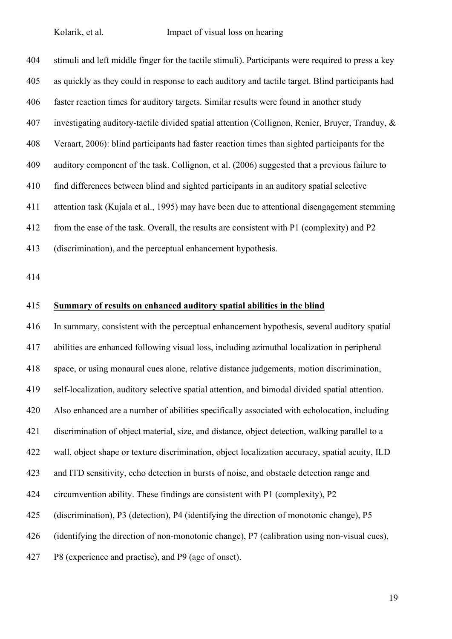stimuli and left middle finger for the tactile stimuli). Participants were required to press a key as quickly as they could in response to each auditory and tactile target. Blind participants had faster reaction times for auditory targets. Similar results were found in another study investigating auditory-tactile divided spatial attention (Collignon, Renier, Bruyer, Tranduy, & Veraart, 2006): blind participants had faster reaction times than sighted participants for the auditory component of the task. Collignon, et al. (2006) suggested that a previous failure to find differences between blind and sighted participants in an auditory spatial selective attention task (Kujala et al., 1995) may have been due to attentional disengagement stemming from the ease of the task. Overall, the results are consistent with P1 (complexity) and P2 (discrimination), and the perceptual enhancement hypothesis.

# **Summary of results on enhanced auditory spatial abilities in the blind**

 In summary, consistent with the perceptual enhancement hypothesis, several auditory spatial abilities are enhanced following visual loss, including azimuthal localization in peripheral space, or using monaural cues alone, relative distance judgements, motion discrimination, self-localization, auditory selective spatial attention, and bimodal divided spatial attention. Also enhanced are a number of abilities specifically associated with echolocation, including discrimination of object material, size, and distance, object detection, walking parallel to a wall, object shape or texture discrimination, object localization accuracy, spatial acuity, ILD and ITD sensitivity, echo detection in bursts of noise, and obstacle detection range and circumvention ability. These findings are consistent with P1 (complexity), P2 (discrimination), P3 (detection), P4 (identifying the direction of monotonic change), P5 (identifying the direction of non-monotonic change), P7 (calibration using non-visual cues), P8 (experience and practise), and P9 (age of onset).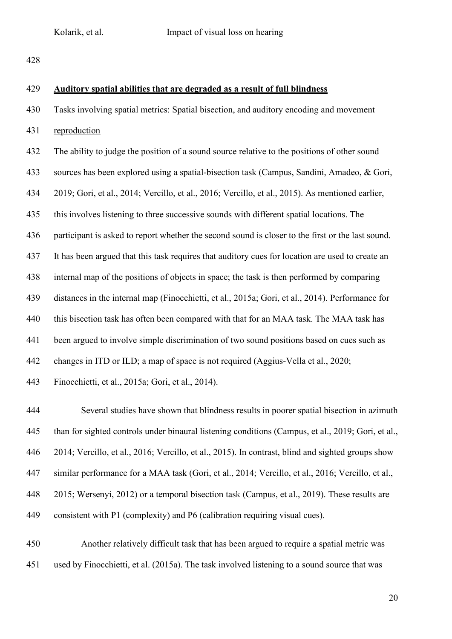# **Auditory spatial abilities that are degraded as a result of full blindness**

- Tasks involving spatial metrics: Spatial bisection, and auditory encoding and movement
- reproduction

 The ability to judge the position of a sound source relative to the positions of other sound sources has been explored using a spatial-bisection task (Campus, Sandini, Amadeo, & Gori, 2019; Gori, et al., 2014; Vercillo, et al., 2016; Vercillo, et al., 2015). As mentioned earlier, this involves listening to three successive sounds with different spatial locations. The participant is asked to report whether the second sound is closer to the first or the last sound. It has been argued that this task requires that auditory cues for location are used to create an internal map of the positions of objects in space; the task is then performed by comparing distances in the internal map (Finocchietti, et al., 2015a; Gori, et al., 2014). Performance for 440 this bisection task has often been compared with that for an MAA task. The MAA task has been argued to involve simple discrimination of two sound positions based on cues such as changes in ITD or ILD; a map of space is not required (Aggius-Vella et al., 2020; Finocchietti, et al., 2015a; Gori, et al., 2014).

 Several studies have shown that blindness results in poorer spatial bisection in azimuth than for sighted controls under binaural listening conditions (Campus, et al., 2019; Gori, et al., 2014; Vercillo, et al., 2016; Vercillo, et al., 2015). In contrast, blind and sighted groups show similar performance for a MAA task (Gori, et al., 2014; Vercillo, et al., 2016; Vercillo, et al., 2015; Wersenyi, 2012) or a temporal bisection task (Campus, et al., 2019). These results are consistent with P1 (complexity) and P6 (calibration requiring visual cues).

 Another relatively difficult task that has been argued to require a spatial metric was used by Finocchietti, et al. (2015a). The task involved listening to a sound source that was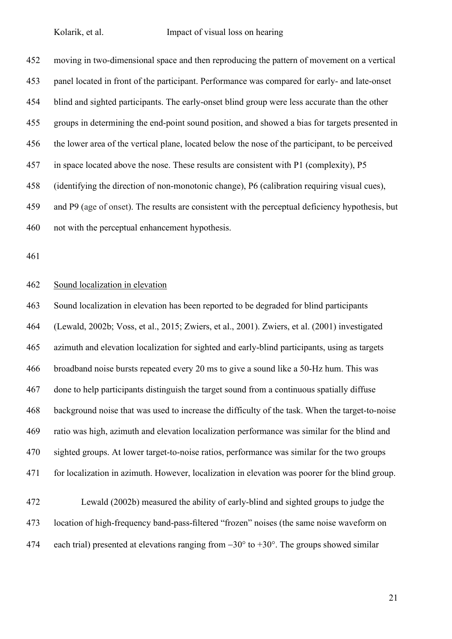moving in two-dimensional space and then reproducing the pattern of movement on a vertical panel located in front of the participant. Performance was compared for early- and late-onset blind and sighted participants. The early-onset blind group were less accurate than the other groups in determining the end-point sound position, and showed a bias for targets presented in the lower area of the vertical plane, located below the nose of the participant, to be perceived in space located above the nose. These results are consistent with P1 (complexity), P5 (identifying the direction of non-monotonic change), P6 (calibration requiring visual cues), and P9 (age of onset). The results are consistent with the perceptual deficiency hypothesis, but not with the perceptual enhancement hypothesis.

# Sound localization in elevation

 Sound localization in elevation has been reported to be degraded for blind participants (Lewald, 2002b; Voss, et al., 2015; Zwiers, et al., 2001). Zwiers, et al. (2001) investigated azimuth and elevation localization for sighted and early-blind participants, using as targets broadband noise bursts repeated every 20 ms to give a sound like a 50-Hz hum. This was done to help participants distinguish the target sound from a continuous spatially diffuse background noise that was used to increase the difficulty of the task. When the target-to-noise ratio was high, azimuth and elevation localization performance was similar for the blind and sighted groups. At lower target-to-noise ratios, performance was similar for the two groups for localization in azimuth. However, localization in elevation was poorer for the blind group. Lewald (2002b) measured the ability of early-blind and sighted groups to judge the location of high-frequency band-pass-filtered "frozen" noises (the same noise waveform on 474 each trial) presented at elevations ranging from  $-30^{\circ}$  to  $+30^{\circ}$ . The groups showed similar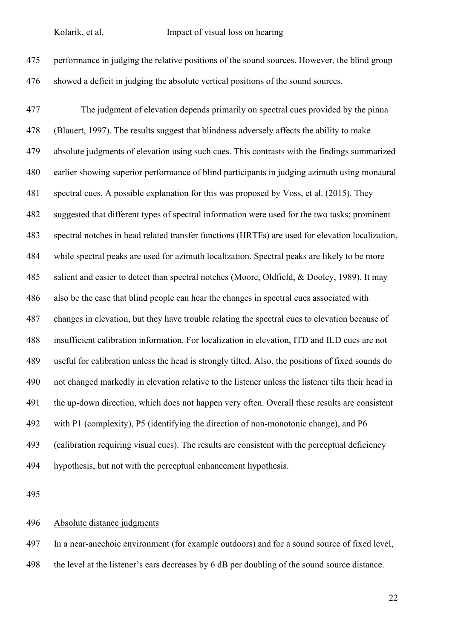

 The judgment of elevation depends primarily on spectral cues provided by the pinna (Blauert, 1997). The results suggest that blindness adversely affects the ability to make absolute judgments of elevation using such cues. This contrasts with the findings summarized earlier showing superior performance of blind participants in judging azimuth using monaural spectral cues. A possible explanation for this was proposed by Voss, et al. (2015). They suggested that different types of spectral information were used for the two tasks; prominent spectral notches in head related transfer functions (HRTFs) are used for elevation localization, while spectral peaks are used for azimuth localization. Spectral peaks are likely to be more salient and easier to detect than spectral notches (Moore, Oldfield, & Dooley, 1989). It may also be the case that blind people can hear the changes in spectral cues associated with changes in elevation, but they have trouble relating the spectral cues to elevation because of insufficient calibration information. For localization in elevation, ITD and ILD cues are not useful for calibration unless the head is strongly tilted. Also, the positions of fixed sounds do not changed markedly in elevation relative to the listener unless the listener tilts their head in the up-down direction, which does not happen very often. Overall these results are consistent with P1 (complexity), P5 (identifying the direction of non-monotonic change), and P6 (calibration requiring visual cues). The results are consistent with the perceptual deficiency hypothesis, but not with the perceptual enhancement hypothesis.

# Absolute distance judgments

In a near-anechoic environment (for example outdoors) and for a sound source of fixed level,

the level at the listener's ears decreases by 6 dB per doubling of the sound source distance.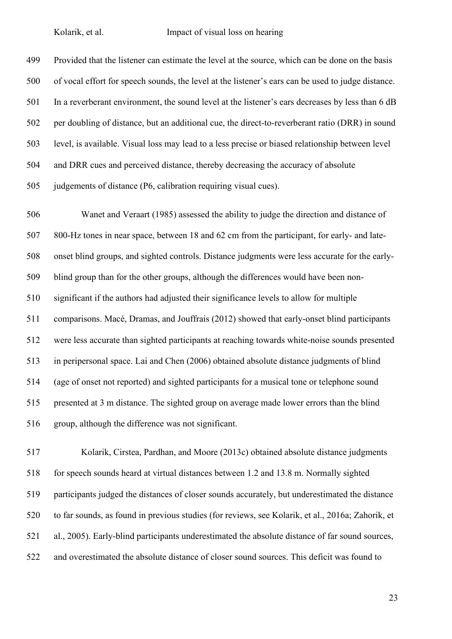Provided that the listener can estimate the level at the source, which can be done on the basis of vocal effort for speech sounds, the level at the listener's ears can be used to judge distance. In a reverberant environment, the sound level at the listener's ears decreases by less than 6 dB per doubling of distance, but an additional cue, the direct-to-reverberant ratio (DRR) in sound level, is available. Visual loss may lead to a less precise or biased relationship between level and DRR cues and perceived distance, thereby decreasing the accuracy of absolute judgements of distance (P6, calibration requiring visual cues).

 Wanet and Veraart (1985) assessed the ability to judge the direction and distance of 800-Hz tones in near space, between 18 and 62 cm from the participant, for early- and late- onset blind groups, and sighted controls. Distance judgments were less accurate for the early- blind group than for the other groups, although the differences would have been non- significant if the authors had adjusted their significance levels to allow for multiple comparisons. Macé, Dramas, and Jouffrais (2012) showed that early-onset blind participants were less accurate than sighted participants at reaching towards white-noise sounds presented in peripersonal space. Lai and Chen (2006) obtained absolute distance judgments of blind (age of onset not reported) and sighted participants for a musical tone or telephone sound presented at 3 m distance. The sighted group on average made lower errors than the blind group, although the difference was not significant.

 Kolarik, Cirstea, Pardhan, and Moore (2013c) obtained absolute distance judgments for speech sounds heard at virtual distances between 1.2 and 13.8 m. Normally sighted participants judged the distances of closer sounds accurately, but underestimated the distance to far sounds, as found in previous studies (for reviews, see Kolarik, et al., 2016a; Zahorik, et al., 2005). Early-blind participants underestimated the absolute distance of far sound sources, and overestimated the absolute distance of closer sound sources. This deficit was found to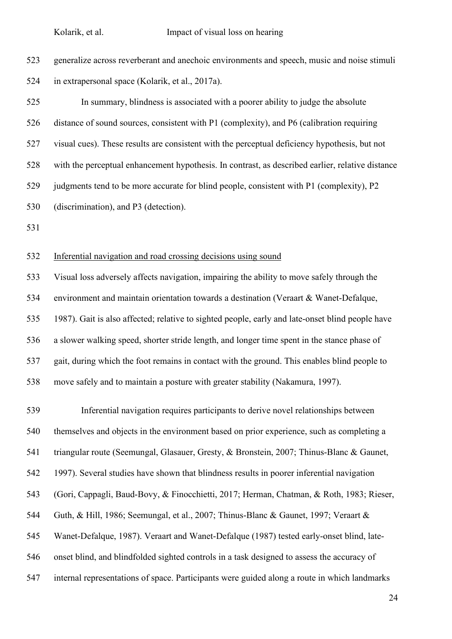| 523 | generalize across reverberant and anechoic environments and speech, music and noise stimuli      |
|-----|--------------------------------------------------------------------------------------------------|
| 524 | in extrapersonal space (Kolarik, et al., 2017a).                                                 |
| 525 | In summary, blindness is associated with a poorer ability to judge the absolute                  |
| 526 | distance of sound sources, consistent with P1 (complexity), and P6 (calibration requiring        |
| 527 | visual cues). These results are consistent with the perceptual deficiency hypothesis, but not    |
| 528 | with the perceptual enhancement hypothesis. In contrast, as described earlier, relative distance |
| 529 | judgments tend to be more accurate for blind people, consistent with P1 (complexity), P2         |
| 530 | (discrimination), and P3 (detection).                                                            |
| 531 |                                                                                                  |
| 532 | Inferential navigation and road crossing decisions using sound                                   |
| 533 | Visual loss adversely affects navigation, impairing the ability to move safely through the       |

 environment and maintain orientation towards a destination (Veraart & Wanet-Defalque, 1987). Gait is also affected; relative to sighted people, early and late-onset blind people have a slower walking speed, shorter stride length, and longer time spent in the stance phase of gait, during which the foot remains in contact with the ground. This enables blind people to move safely and to maintain a posture with greater stability (Nakamura, 1997).

 Inferential navigation requires participants to derive novel relationships between themselves and objects in the environment based on prior experience, such as completing a triangular route (Seemungal, Glasauer, Gresty, & Bronstein, 2007; Thinus-Blanc & Gaunet, 1997). Several studies have shown that blindness results in poorer inferential navigation (Gori, Cappagli, Baud-Bovy, & Finocchietti, 2017; Herman, Chatman, & Roth, 1983; Rieser, Guth, & Hill, 1986; Seemungal, et al., 2007; Thinus-Blanc & Gaunet, 1997; Veraart & Wanet-Defalque, 1987). Veraart and Wanet-Defalque (1987) tested early-onset blind, late- onset blind, and blindfolded sighted controls in a task designed to assess the accuracy of internal representations of space. Participants were guided along a route in which landmarks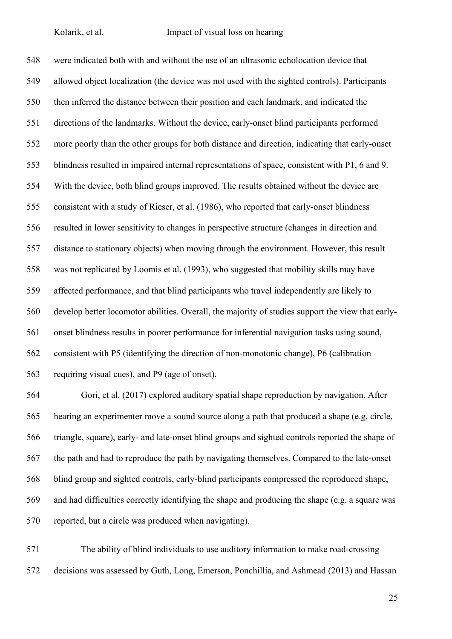were indicated both with and without the use of an ultrasonic echolocation device that allowed object localization (the device was not used with the sighted controls). Participants then inferred the distance between their position and each landmark, and indicated the directions of the landmarks. Without the device, early-onset blind participants performed more poorly than the other groups for both distance and direction, indicating that early-onset blindness resulted in impaired internal representations of space, consistent with P1, 6 and 9. With the device, both blind groups improved. The results obtained without the device are consistent with a study of Rieser, et al. (1986), who reported that early-onset blindness resulted in lower sensitivity to changes in perspective structure (changes in direction and distance to stationary objects) when moving through the environment. However, this result was not replicated by Loomis et al. (1993), who suggested that mobility skills may have affected performance, and that blind participants who travel independently are likely to develop better locomotor abilities. Overall, the majority of studies support the view that early- onset blindness results in poorer performance for inferential navigation tasks using sound, consistent with P5 (identifying the direction of non-monotonic change), P6 (calibration requiring visual cues), and P9 (age of onset).

 Gori, et al. (2017) explored auditory spatial shape reproduction by navigation. After hearing an experimenter move a sound source along a path that produced a shape (e.g. circle, triangle, square), early- and late-onset blind groups and sighted controls reported the shape of the path and had to reproduce the path by navigating themselves. Compared to the late-onset blind group and sighted controls, early-blind participants compressed the reproduced shape, and had difficulties correctly identifying the shape and producing the shape (e.g. a square was reported, but a circle was produced when navigating).

 The ability of blind individuals to use auditory information to make road-crossing decisions was assessed by Guth, Long, Emerson, Ponchillia, and Ashmead (2013) and Hassan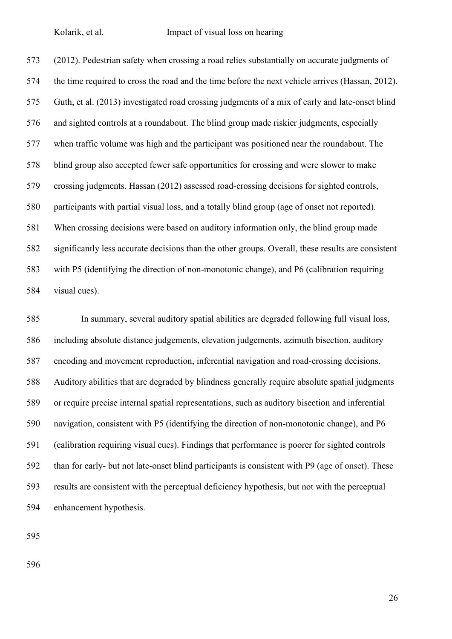(2012). Pedestrian safety when crossing a road relies substantially on accurate judgments of the time required to cross the road and the time before the next vehicle arrives (Hassan, 2012). Guth, et al. (2013) investigated road crossing judgments of a mix of early and late-onset blind and sighted controls at a roundabout. The blind group made riskier judgments, especially when traffic volume was high and the participant was positioned near the roundabout. The blind group also accepted fewer safe opportunities for crossing and were slower to make crossing judgments. Hassan (2012) assessed road-crossing decisions for sighted controls, participants with partial visual loss, and a totally blind group (age of onset not reported). When crossing decisions were based on auditory information only, the blind group made significantly less accurate decisions than the other groups. Overall, these results are consistent with P5 (identifying the direction of non-monotonic change), and P6 (calibration requiring visual cues).

 In summary, several auditory spatial abilities are degraded following full visual loss, including absolute distance judgements, elevation judgements, azimuth bisection, auditory encoding and movement reproduction, inferential navigation and road-crossing decisions. Auditory abilities that are degraded by blindness generally require absolute spatial judgments or require precise internal spatial representations, such as auditory bisection and inferential navigation, consistent with P5 (identifying the direction of non-monotonic change), and P6 (calibration requiring visual cues). Findings that performance is poorer for sighted controls than for early- but not late-onset blind participants is consistent with P9 (age of onset). These results are consistent with the perceptual deficiency hypothesis, but not with the perceptual enhancement hypothesis.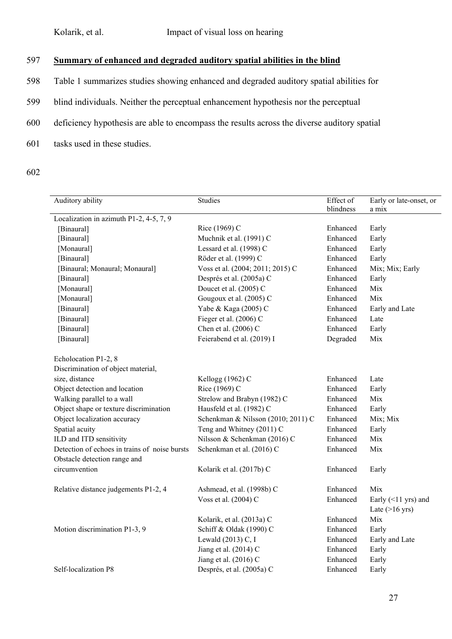# 597 **Summary of enhanced and degraded auditory spatial abilities in the blind**

- 598 Table 1 summarizes studies showing enhanced and degraded auditory spatial abilities for
- 599 blind individuals. Neither the perceptual enhancement hypothesis nor the perceptual
- 600 deficiency hypothesis are able to encompass the results across the diverse auditory spatial
- 601 tasks used in these studies.
- 602

| Auditory ability                              | Studies                            | Effect of<br>blindness | Early or late-onset, or<br>a mix |  |
|-----------------------------------------------|------------------------------------|------------------------|----------------------------------|--|
| Localization in azimuth P1-2, 4-5, 7, 9       |                                    |                        |                                  |  |
| [Binaural]                                    | Rice (1969) C                      | Enhanced               | Early                            |  |
| [Binaural]                                    | Muchnik et al. (1991) C            | Enhanced               | Early                            |  |
| [Monaural]                                    | Lessard et al. (1998) C            | Enhanced               | Early                            |  |
| [Binaural]                                    | Röder et al. (1999) C              | Enhanced               | Early                            |  |
| [Binaural; Monaural; Monaural]                | Voss et al. (2004; 2011; 2015) C   | Enhanced               | Mix; Mix; Early                  |  |
| [Binaural]                                    | Després et al. (2005a) C           | Enhanced               | Early                            |  |
| [Monaural]                                    | Doucet et al. (2005) C             | Enhanced               | Mix                              |  |
| [Monaural]                                    | Gougoux et al. (2005) C            | Enhanced               | Mix                              |  |
| [Binaural]                                    | Yabe & Kaga (2005) C               | Enhanced               | Early and Late                   |  |
| [Binaural]                                    | Fieger et al. (2006) C             | Enhanced               | Late                             |  |
| [Binaural]                                    | Chen et al. (2006) C               | Enhanced               | Early                            |  |
| [Binaural]                                    | Feierabend et al. (2019) I         | Degraded               | Mix                              |  |
| Echolocation P1-2, 8                          |                                    |                        |                                  |  |
| Discrimination of object material,            |                                    |                        |                                  |  |
| size, distance                                | Kellogg (1962) C                   | Enhanced               | Late                             |  |
| Object detection and location                 | Rice (1969) C                      | Enhanced               | Early                            |  |
| Walking parallel to a wall                    | Strelow and Brabyn (1982) C        | Enhanced               | Mix                              |  |
| Object shape or texture discrimination        | Hausfeld et al. (1982) C           | Enhanced               | Early                            |  |
| Object localization accuracy                  | Schenkman & Nilsson (2010; 2011) C | Enhanced               | Mix; Mix                         |  |
| Spatial acuity                                | Teng and Whitney (2011) C          | Enhanced               | Early                            |  |
| ILD and ITD sensitivity                       | Nilsson & Schenkman (2016) C       | Enhanced               | Mix                              |  |
| Detection of echoes in trains of noise bursts | Schenkman et al. (2016) C          | Enhanced               | Mix                              |  |
| Obstacle detection range and                  |                                    |                        |                                  |  |
| circumvention                                 | Kolarik et al. (2017b) C           | Enhanced               | Early                            |  |
| Relative distance judgements P1-2, 4          | Ashmead, et al. (1998b) C          | Enhanced               | Mix                              |  |
|                                               | Voss et al. (2004) C               | Enhanced               | Early $($ 1 yrs) and             |  |
|                                               |                                    |                        | Late $(>16$ yrs)                 |  |
|                                               | Kolarik, et al. (2013a) C          | Enhanced               | Mix                              |  |
| Motion discrimination P1-3, 9                 | Schiff & Oldak (1990) C            | Enhanced               | Early                            |  |
|                                               | Lewald (2013) C, I                 | Enhanced               | Early and Late                   |  |
|                                               | Jiang et al. (2014) C              | Enhanced               | Early                            |  |
|                                               | Jiang et al. (2016) C              | Enhanced               | Early                            |  |
| Self-localization P8                          | Després, et al. (2005a) C          | Enhanced               | Early                            |  |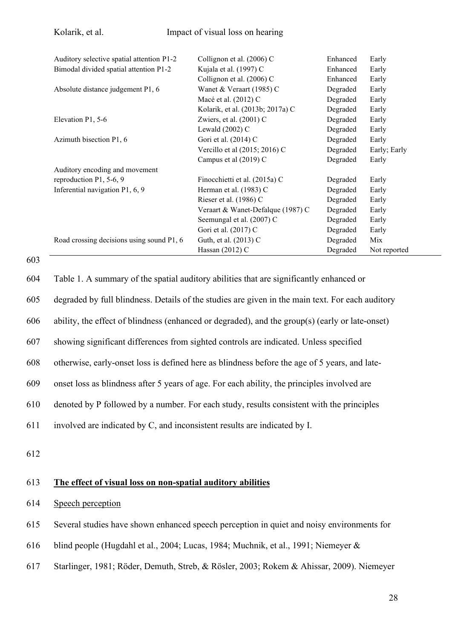| Kolarik, et al.                           | Impact of visual loss on hearing  |          |              |
|-------------------------------------------|-----------------------------------|----------|--------------|
|                                           |                                   |          |              |
| Auditory selective spatial attention P1-2 | Collignon et al. (2006) C         | Enhanced | Early        |
| Bimodal divided spatial attention P1-2    | Kujala et al. (1997) C            | Enhanced | Early        |
|                                           | Collignon et al. (2006) C         | Enhanced | Early        |
| Absolute distance judgement P1, 6         | Wanet & Veraart (1985) C          | Degraded | Early        |
|                                           | Macé et al. (2012) C              | Degraded | Early        |
|                                           | Kolarik, et al. (2013b; 2017a) C  | Degraded | Early        |
| Elevation P1, 5-6                         | Zwiers, et al. $(2001)$ C         | Degraded | Early        |
|                                           | Lewald $(2002)$ C                 | Degraded | Early        |
| Azimuth bisection P1, 6                   | Gori et al. (2014) C              | Degraded | Early        |
|                                           | Vercillo et al (2015; 2016) C     | Degraded | Early; Early |
|                                           | Campus et al (2019) C             | Degraded | Early        |
| Auditory encoding and movement            |                                   |          |              |
| reproduction P1, 5-6, 9                   | Finocchietti et al. (2015a) C     | Degraded | Early        |
| Inferential navigation P1, 6, 9           | Herman et al. (1983) C            | Degraded | Early        |
|                                           | Rieser et al. (1986) C            | Degraded | Early        |
|                                           | Veraart & Wanet-Defalque (1987) C | Degraded | Early        |
|                                           | Seemungal et al. (2007) C         | Degraded | Early        |
|                                           | Gori et al. (2017) C              | Degraded | Early        |
| Road crossing decisions using sound P1, 6 | Guth, et al. (2013) C             | Degraded | Mix          |
|                                           | Hassan $(2012)$ C                 | Degraded | Not reported |

603

604 Table 1. A summary of the spatial auditory abilities that are significantly enhanced or

605 degraded by full blindness. Details of the studies are given in the main text. For each auditory

606 ability, the effect of blindness (enhanced or degraded), and the group(s) (early or late-onset)

607 showing significant differences from sighted controls are indicated. Unless specified

608 otherwise, early-onset loss is defined here as blindness before the age of 5 years, and late-

609 onset loss as blindness after 5 years of age. For each ability, the principles involved are

610 denoted by P followed by a number. For each study, results consistent with the principles

611 involved are indicated by C, and inconsistent results are indicated by I.

612

### 613 **The effect of visual loss on non-spatial auditory abilities**

- 614 Speech perception
- 615 Several studies have shown enhanced speech perception in quiet and noisy environments for
- 616 blind people (Hugdahl et al., 2004; Lucas, 1984; Muchnik, et al., 1991; Niemeyer &
- 617 Starlinger, 1981; Röder, Demuth, Streb, & Rösler, 2003; Rokem & Ahissar, 2009). Niemeyer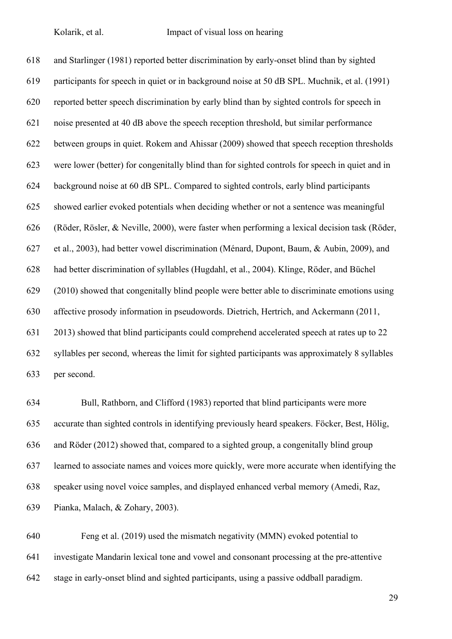and Starlinger (1981) reported better discrimination by early-onset blind than by sighted participants for speech in quiet or in background noise at 50 dB SPL. Muchnik, et al. (1991) reported better speech discrimination by early blind than by sighted controls for speech in noise presented at 40 dB above the speech reception threshold, but similar performance between groups in quiet. Rokem and Ahissar (2009) showed that speech reception thresholds were lower (better) for congenitally blind than for sighted controls for speech in quiet and in background noise at 60 dB SPL. Compared to sighted controls, early blind participants showed earlier evoked potentials when deciding whether or not a sentence was meaningful (Röder, Rösler, & Neville, 2000), were faster when performing a lexical decision task (Röder, et al., 2003), had better vowel discrimination (Ménard, Dupont, Baum, & Aubin, 2009), and had better discrimination of syllables (Hugdahl, et al., 2004). Klinge, Röder, and Büchel (2010) showed that congenitally blind people were better able to discriminate emotions using affective prosody information in pseudowords. Dietrich, Hertrich, and Ackermann (2011, 2013) showed that blind participants could comprehend accelerated speech at rates up to 22 syllables per second, whereas the limit for sighted participants was approximately 8 syllables per second.

 Bull, Rathborn, and Clifford (1983) reported that blind participants were more accurate than sighted controls in identifying previously heard speakers. Föcker, Best, Hölig, and Röder (2012) showed that, compared to a sighted group, a congenitally blind group learned to associate names and voices more quickly, were more accurate when identifying the speaker using novel voice samples, and displayed enhanced verbal memory (Amedi, Raz, Pianka, Malach, & Zohary, 2003).

 Feng et al. (2019) used the mismatch negativity (MMN) evoked potential to investigate Mandarin lexical tone and vowel and consonant processing at the pre-attentive stage in early-onset blind and sighted participants, using a passive oddball paradigm.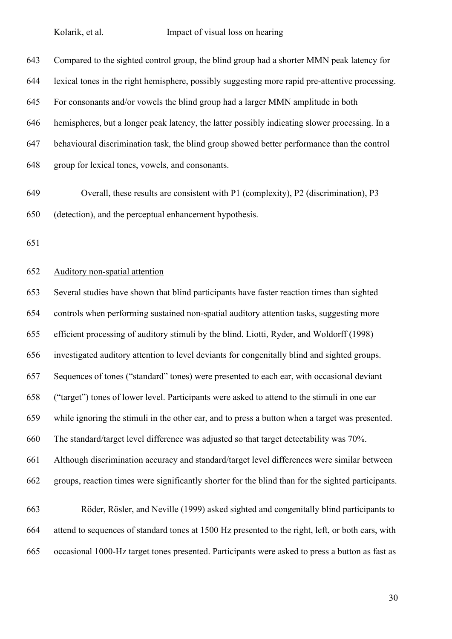| 643 | Compared to the sighted control group, the blind group had a shorter MMN peak latency for       |
|-----|-------------------------------------------------------------------------------------------------|
| 644 | lexical tones in the right hemisphere, possibly suggesting more rapid pre-attentive processing. |
| 645 | For consonants and/or vowels the blind group had a larger MMN amplitude in both                 |
| 646 | hemispheres, but a longer peak latency, the latter possibly indicating slower processing. In a  |
| 647 | behavioural discrimination task, the blind group showed better performance than the control     |
| 648 | group for lexical tones, vowels, and consonants.                                                |

- Overall, these results are consistent with P1 (complexity), P2 (discrimination), P3 (detection), and the perceptual enhancement hypothesis.
- 

# Auditory non-spatial attention

 Several studies have shown that blind participants have faster reaction times than sighted controls when performing sustained non-spatial auditory attention tasks, suggesting more efficient processing of auditory stimuli by the blind. Liotti, Ryder, and Woldorff (1998) investigated auditory attention to level deviants for congenitally blind and sighted groups. Sequences of tones ("standard" tones) were presented to each ear, with occasional deviant ("target") tones of lower level. Participants were asked to attend to the stimuli in one ear while ignoring the stimuli in the other ear, and to press a button when a target was presented. The standard/target level difference was adjusted so that target detectability was 70%. Although discrimination accuracy and standard/target level differences were similar between groups, reaction times were significantly shorter for the blind than for the sighted participants.

 Röder, Rösler, and Neville (1999) asked sighted and congenitally blind participants to attend to sequences of standard tones at 1500 Hz presented to the right, left, or both ears, with occasional 1000-Hz target tones presented. Participants were asked to press a button as fast as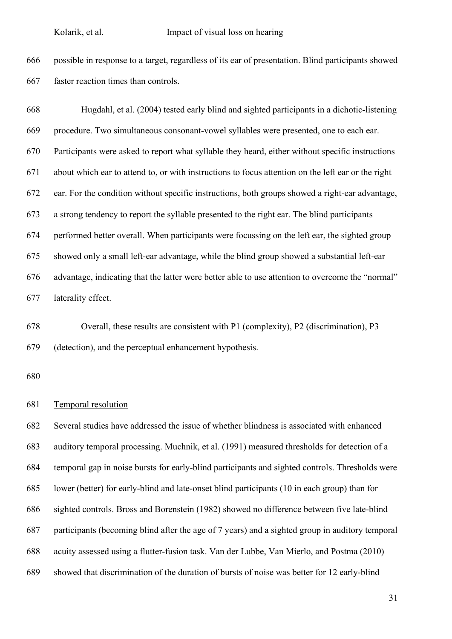possible in response to a target, regardless of its ear of presentation. Blind participants showed faster reaction times than controls.

 Hugdahl, et al. (2004) tested early blind and sighted participants in a dichotic-listening procedure. Two simultaneous consonant-vowel syllables were presented, one to each ear. Participants were asked to report what syllable they heard, either without specific instructions about which ear to attend to, or with instructions to focus attention on the left ear or the right ear. For the condition without specific instructions, both groups showed a right-ear advantage, a strong tendency to report the syllable presented to the right ear. The blind participants performed better overall. When participants were focussing on the left ear, the sighted group showed only a small left-ear advantage, while the blind group showed a substantial left-ear advantage, indicating that the latter were better able to use attention to overcome the "normal" laterality effect.

 Overall, these results are consistent with P1 (complexity), P2 (discrimination), P3 (detection), and the perceptual enhancement hypothesis.

#### Temporal resolution

 Several studies have addressed the issue of whether blindness is associated with enhanced auditory temporal processing. Muchnik, et al. (1991) measured thresholds for detection of a temporal gap in noise bursts for early-blind participants and sighted controls. Thresholds were lower (better) for early-blind and late-onset blind participants (10 in each group) than for sighted controls. Bross and Borenstein (1982) showed no difference between five late-blind participants (becoming blind after the age of 7 years) and a sighted group in auditory temporal acuity assessed using a flutter-fusion task. Van der Lubbe, Van Mierlo, and Postma (2010) showed that discrimination of the duration of bursts of noise was better for 12 early-blind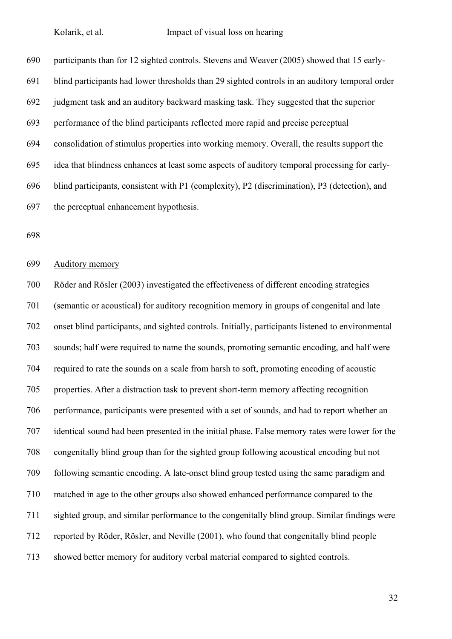participants than for 12 sighted controls. Stevens and Weaver (2005) showed that 15 early- blind participants had lower thresholds than 29 sighted controls in an auditory temporal order judgment task and an auditory backward masking task. They suggested that the superior performance of the blind participants reflected more rapid and precise perceptual consolidation of stimulus properties into working memory. Overall, the results support the idea that blindness enhances at least some aspects of auditory temporal processing for early- blind participants, consistent with P1 (complexity), P2 (discrimination), P3 (detection), and the perceptual enhancement hypothesis.

Auditory memory

 Röder and Rösler (2003) investigated the effectiveness of different encoding strategies (semantic or acoustical) for auditory recognition memory in groups of congenital and late onset blind participants, and sighted controls. Initially, participants listened to environmental sounds; half were required to name the sounds, promoting semantic encoding, and half were required to rate the sounds on a scale from harsh to soft, promoting encoding of acoustic properties. After a distraction task to prevent short-term memory affecting recognition performance, participants were presented with a set of sounds, and had to report whether an identical sound had been presented in the initial phase. False memory rates were lower for the congenitally blind group than for the sighted group following acoustical encoding but not following semantic encoding. A late-onset blind group tested using the same paradigm and matched in age to the other groups also showed enhanced performance compared to the sighted group, and similar performance to the congenitally blind group. Similar findings were reported by Röder, Rösler, and Neville (2001), who found that congenitally blind people showed better memory for auditory verbal material compared to sighted controls.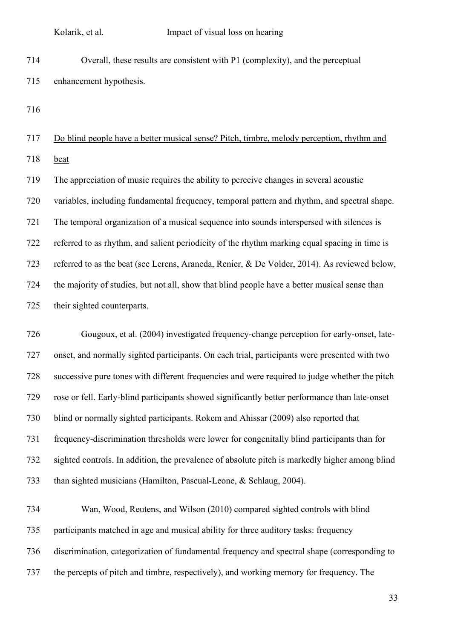Overall, these results are consistent with P1 (complexity), and the perceptual enhancement hypothesis.

 Do blind people have a better musical sense? Pitch, timbre, melody perception, rhythm and beat

 The appreciation of music requires the ability to perceive changes in several acoustic variables, including fundamental frequency, temporal pattern and rhythm, and spectral shape. The temporal organization of a musical sequence into sounds interspersed with silences is referred to as rhythm, and salient periodicity of the rhythm marking equal spacing in time is referred to as the beat (see Lerens, Araneda, Renier, & De Volder, 2014). As reviewed below, the majority of studies, but not all, show that blind people have a better musical sense than their sighted counterparts.

 Gougoux, et al. (2004) investigated frequency-change perception for early-onset, late- onset, and normally sighted participants. On each trial, participants were presented with two successive pure tones with different frequencies and were required to judge whether the pitch rose or fell. Early-blind participants showed significantly better performance than late-onset blind or normally sighted participants. Rokem and Ahissar (2009) also reported that frequency-discrimination thresholds were lower for congenitally blind participants than for sighted controls. In addition, the prevalence of absolute pitch is markedly higher among blind than sighted musicians (Hamilton, Pascual-Leone, & Schlaug, 2004).

 Wan, Wood, Reutens, and Wilson (2010) compared sighted controls with blind participants matched in age and musical ability for three auditory tasks: frequency discrimination, categorization of fundamental frequency and spectral shape (corresponding to the percepts of pitch and timbre, respectively), and working memory for frequency. The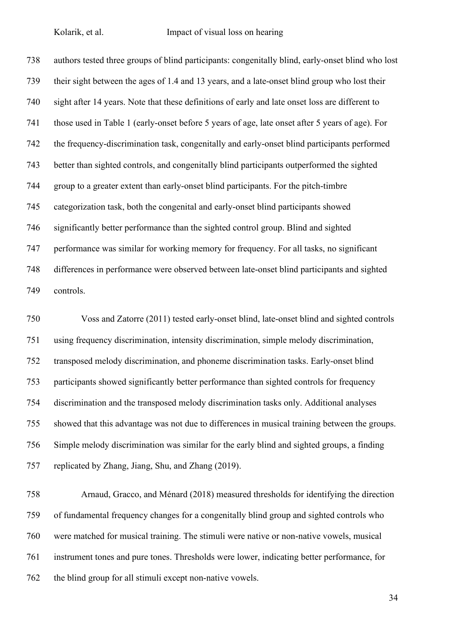authors tested three groups of blind participants: congenitally blind, early-onset blind who lost their sight between the ages of 1.4 and 13 years, and a late-onset blind group who lost their sight after 14 years. Note that these definitions of early and late onset loss are different to those used in Table 1 (early-onset before 5 years of age, late onset after 5 years of age). For the frequency-discrimination task, congenitally and early-onset blind participants performed better than sighted controls, and congenitally blind participants outperformed the sighted group to a greater extent than early-onset blind participants. For the pitch-timbre categorization task, both the congenital and early-onset blind participants showed significantly better performance than the sighted control group. Blind and sighted performance was similar for working memory for frequency. For all tasks, no significant differences in performance were observed between late-onset blind participants and sighted controls.

 Voss and Zatorre (2011) tested early-onset blind, late-onset blind and sighted controls using frequency discrimination, intensity discrimination, simple melody discrimination, transposed melody discrimination, and phoneme discrimination tasks. Early-onset blind participants showed significantly better performance than sighted controls for frequency discrimination and the transposed melody discrimination tasks only. Additional analyses showed that this advantage was not due to differences in musical training between the groups. Simple melody discrimination was similar for the early blind and sighted groups, a finding replicated by Zhang, Jiang, Shu, and Zhang (2019).

 Arnaud, Gracco, and Ménard (2018) measured thresholds for identifying the direction of fundamental frequency changes for a congenitally blind group and sighted controls who were matched for musical training. The stimuli were native or non-native vowels, musical instrument tones and pure tones. Thresholds were lower, indicating better performance, for the blind group for all stimuli except non-native vowels.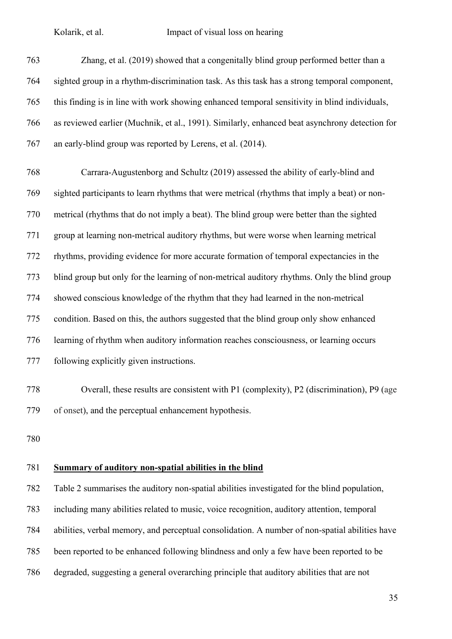| 763 | Zhang, et al. (2019) showed that a congenitally blind group performed better than a            |
|-----|------------------------------------------------------------------------------------------------|
| 764 | sighted group in a rhythm-discrimination task. As this task has a strong temporal component,   |
| 765 | this finding is in line with work showing enhanced temporal sensitivity in blind individuals,  |
| 766 | as reviewed earlier (Muchnik, et al., 1991). Similarly, enhanced beat asynchrony detection for |
| 767 | an early-blind group was reported by Lerens, et al. (2014).                                    |
| 768 | Carrara-Augustenborg and Schultz (2019) assessed the ability of early-blind and                |
| 769 | sighted participants to learn rhythms that were metrical (rhythms that imply a beat) or non-   |
| 770 | metrical (rhythms that do not imply a beat). The blind group were better than the sighted      |
| 771 | group at learning non-metrical auditory rhythms, but were worse when learning metrical         |
| 772 | rhythms, providing evidence for more accurate formation of temporal expectancies in the        |
| 773 | blind group but only for the learning of non-metrical auditory rhythms. Only the blind group   |
| 774 | showed conscious knowledge of the rhythm that they had learned in the non-metrical             |
| 775 | condition. Based on this, the authors suggested that the blind group only show enhanced        |
| 776 | learning of rhythm when auditory information reaches consciousness, or learning occurs         |
| 777 | following explicitly given instructions.                                                       |
|     |                                                                                                |

 Overall, these results are consistent with P1 (complexity), P2 (discrimination), P9 (age of onset), and the perceptual enhancement hypothesis.

# **Summary of auditory non-spatial abilities in the blind**

 Table 2 summarises the auditory non-spatial abilities investigated for the blind population, including many abilities related to music, voice recognition, auditory attention, temporal abilities, verbal memory, and perceptual consolidation. A number of non-spatial abilities have been reported to be enhanced following blindness and only a few have been reported to be degraded, suggesting a general overarching principle that auditory abilities that are not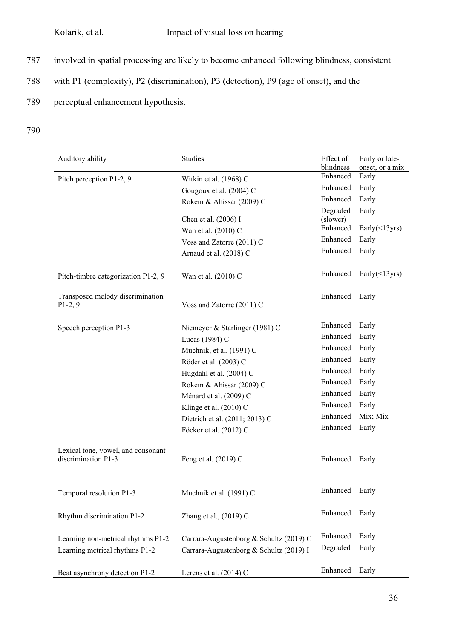- 787 involved in spatial processing are likely to become enhanced following blindness, consistent
- 788 with P1 (complexity), P2 (discrimination), P3 (detection), P9 (age of onset), and the
- 789 perceptual enhancement hypothesis.
- 790

| Auditory ability                                          | <b>Studies</b>                          | Effect of            | Early or late-        |
|-----------------------------------------------------------|-----------------------------------------|----------------------|-----------------------|
|                                                           |                                         | blindness            | onset, or a mix       |
| Pitch perception P1-2, 9                                  | Witkin et al. (1968) C                  | Enhanced             | Early                 |
|                                                           | Gougoux et al. (2004) C                 | Enhanced             | Early                 |
|                                                           | Rokem & Ahissar (2009) C                | Enhanced             | Early                 |
|                                                           |                                         | Degraded             | Early                 |
|                                                           | Chen et al. (2006) I                    | (slower)<br>Enhanced |                       |
|                                                           | Wan et al. (2010) C                     |                      | Early $(\leq 13$ yrs) |
|                                                           | Voss and Zatorre (2011) C               | Enhanced             | Early                 |
|                                                           | Arnaud et al. (2018) C                  | Enhanced             | Early                 |
| Pitch-timbre categorization P1-2, 9                       | Wan et al. (2010) C                     | Enhanced             | Early $(\leq 13$ yrs) |
| Transposed melody discrimination<br>$P1-2, 9$             | Voss and Zatorre (2011) C               | Enhanced             | Early                 |
| Speech perception P1-3                                    | Niemeyer & Starlinger (1981) C          | Enhanced             | Early                 |
|                                                           | Lucas (1984) C                          | Enhanced             | Early                 |
|                                                           | Muchnik, et al. (1991) C                | Enhanced             | Early                 |
|                                                           | Röder et al. (2003) C                   | Enhanced             | Early                 |
|                                                           | Hugdahl et al. (2004) C                 | Enhanced             | Early                 |
|                                                           | Rokem & Ahissar (2009) C                | Enhanced             | Early                 |
|                                                           | Ménard et al. (2009) C                  | Enhanced             | Early                 |
|                                                           | Klinge et al. (2010) C                  | Enhanced             | Early                 |
|                                                           | Dietrich et al. (2011; 2013) C          | Enhanced             | Mix; Mix              |
|                                                           | Föcker et al. (2012) C                  | Enhanced             | Early                 |
| Lexical tone, vowel, and consonant<br>discrimination P1-3 | Feng et al. (2019) C                    | Enhanced             | Early                 |
| Temporal resolution P1-3                                  | Muchnik et al. (1991) C                 | Enhanced Early       |                       |
| Rhythm discrimination P1-2                                | Zhang et al., (2019) C                  | Enhanced             | Early                 |
| Learning non-metrical rhythms P1-2                        | Carrara-Augustenborg & Schultz (2019) C | Enhanced             | Early                 |
| Learning metrical rhythms P1-2                            | Carrara-Augustenborg & Schultz (2019) I | Degraded             | Early                 |
| Beat asynchrony detection P1-2                            | Lerens et al. $(2014)$ C                | Enhanced             | Early                 |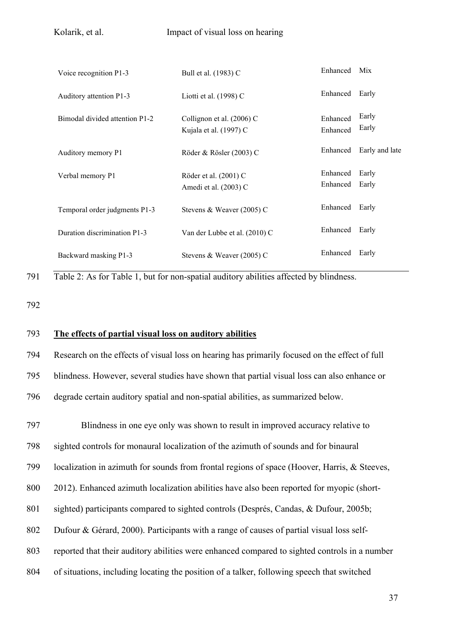| Voice recognition P1-3         | Bull et al. (1983) C                                | Enhanced             | Mix            |
|--------------------------------|-----------------------------------------------------|----------------------|----------------|
| Auditory attention P1-3        | Liotti et al. $(1998)$ C                            | Enhanced             | Early          |
| Bimodal divided attention P1-2 | Collignon et al. (2006) C<br>Kujala et al. (1997) C | Enhanced<br>Enhanced | Early<br>Early |
| Auditory memory P1             | Röder & Rösler (2003) C                             | Enhanced             | Early and late |
| Verbal memory P1               | Röder et al. (2001) C<br>Amedi et al. (2003) C      | Enhanced<br>Enhanced | Early<br>Early |
| Temporal order judgments P1-3  | Stevens & Weaver (2005) C                           | Enhanced             | Early          |
| Duration discrimination P1-3   | Van der Lubbe et al. (2010) C                       | Enhanced             | Early          |
| Backward masking P1-3          | Stevens & Weaver $(2005)$ C                         | Enhanced             | Early          |
|                                |                                                     |                      |                |

791 Table 2: As for Table 1, but for non-spatial auditory abilities affected by blindness.

792

### 793 **The effects of partial visual loss on auditory abilities**

794 Research on the effects of visual loss on hearing has primarily focused on the effect of full 795 blindness. However, several studies have shown that partial visual loss can also enhance or 796 degrade certain auditory spatial and non-spatial abilities, as summarized below.

797 Blindness in one eye only was shown to result in improved accuracy relative to

798 sighted controls for monaural localization of the azimuth of sounds and for binaural

799 localization in azimuth for sounds from frontal regions of space (Hoover, Harris, & Steeves,

800 2012). Enhanced azimuth localization abilities have also been reported for myopic (short-

801 sighted) participants compared to sighted controls (Després, Candas, & Dufour, 2005b;

802 Dufour & Gérard, 2000). Participants with a range of causes of partial visual loss self-

803 reported that their auditory abilities were enhanced compared to sighted controls in a number

804 of situations, including locating the position of a talker, following speech that switched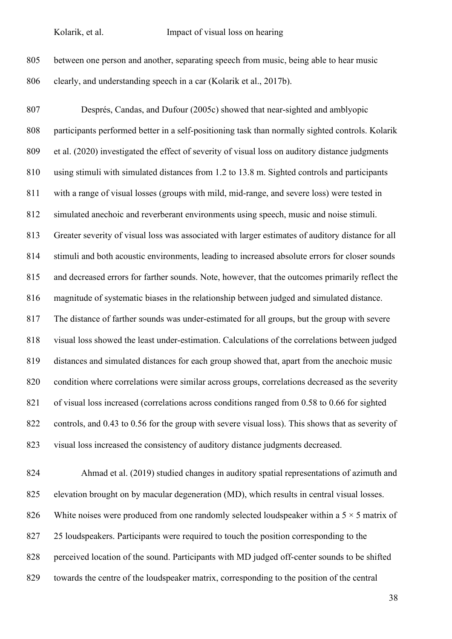| 805 | between one person and another, separating speech from music, being able to hear music |
|-----|----------------------------------------------------------------------------------------|
| 806 | clearly, and understanding speech in a car (Kolarik et al., 2017b).                    |

 Després, Candas, and Dufour (2005c) showed that near-sighted and amblyopic participants performed better in a self-positioning task than normally sighted controls. Kolarik et al. (2020) investigated the effect of severity of visual loss on auditory distance judgments using stimuli with simulated distances from 1.2 to 13.8 m. Sighted controls and participants with a range of visual losses (groups with mild, mid-range, and severe loss) were tested in simulated anechoic and reverberant environments using speech, music and noise stimuli. Greater severity of visual loss was associated with larger estimates of auditory distance for all stimuli and both acoustic environments, leading to increased absolute errors for closer sounds and decreased errors for farther sounds. Note, however, that the outcomes primarily reflect the magnitude of systematic biases in the relationship between judged and simulated distance. The distance of farther sounds was under-estimated for all groups, but the group with severe visual loss showed the least under-estimation. Calculations of the correlations between judged distances and simulated distances for each group showed that, apart from the anechoic music condition where correlations were similar across groups, correlations decreased as the severity of visual loss increased (correlations across conditions ranged from 0.58 to 0.66 for sighted controls, and 0.43 to 0.56 for the group with severe visual loss). This shows that as severity of visual loss increased the consistency of auditory distance judgments decreased.

 Ahmad et al. (2019) studied changes in auditory spatial representations of azimuth and elevation brought on by macular degeneration (MD), which results in central visual losses. 826 White noises were produced from one randomly selected loudspeaker within a  $5 \times 5$  matrix of 25 loudspeakers. Participants were required to touch the position corresponding to the 828 perceived location of the sound. Participants with MD judged off-center sounds to be shifted towards the centre of the loudspeaker matrix, corresponding to the position of the central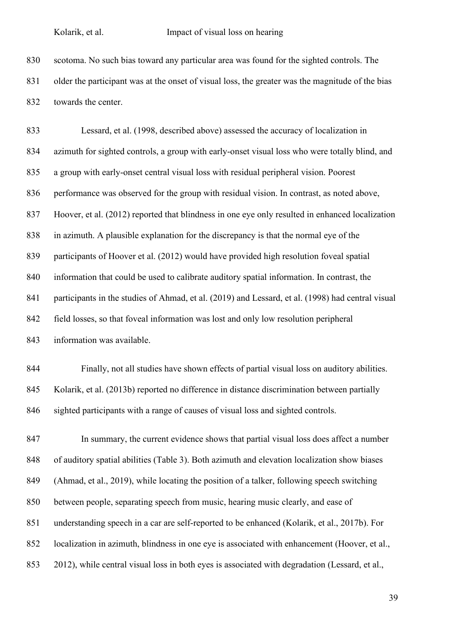scotoma. No such bias toward any particular area was found for the sighted controls. The older the participant was at the onset of visual loss, the greater was the magnitude of the bias towards the center.

 Lessard, et al. (1998, described above) assessed the accuracy of localization in azimuth for sighted controls, a group with early-onset visual loss who were totally blind, and a group with early-onset central visual loss with residual peripheral vision. Poorest performance was observed for the group with residual vision. In contrast, as noted above, Hoover, et al. (2012) reported that blindness in one eye only resulted in enhanced localization in azimuth. A plausible explanation for the discrepancy is that the normal eye of the participants of Hoover et al. (2012) would have provided high resolution foveal spatial information that could be used to calibrate auditory spatial information. In contrast, the participants in the studies of Ahmad, et al. (2019) and Lessard, et al. (1998) had central visual field losses, so that foveal information was lost and only low resolution peripheral information was available.

 Finally, not all studies have shown effects of partial visual loss on auditory abilities. Kolarik, et al. (2013b) reported no difference in distance discrimination between partially sighted participants with a range of causes of visual loss and sighted controls.

 In summary, the current evidence shows that partial visual loss does affect a number of auditory spatial abilities (Table 3). Both azimuth and elevation localization show biases (Ahmad, et al., 2019), while locating the position of a talker, following speech switching between people, separating speech from music, hearing music clearly, and ease of understanding speech in a car are self-reported to be enhanced (Kolarik, et al., 2017b). For localization in azimuth, blindness in one eye is associated with enhancement (Hoover, et al., 2012), while central visual loss in both eyes is associated with degradation (Lessard, et al.,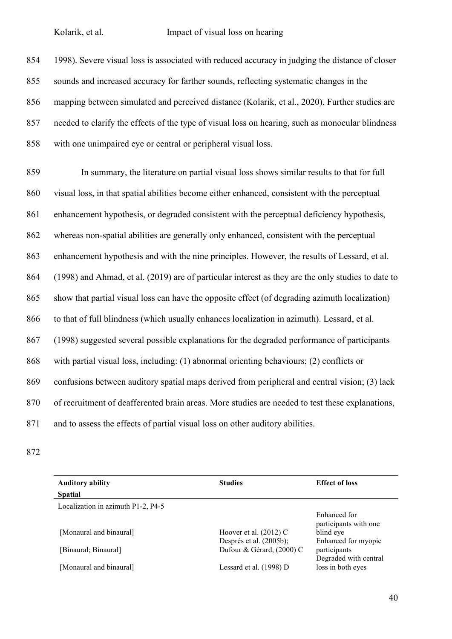1998). Severe visual loss is associated with reduced accuracy in judging the distance of closer sounds and increased accuracy for farther sounds, reflecting systematic changes in the mapping between simulated and perceived distance (Kolarik, et al., 2020). Further studies are needed to clarify the effects of the type of visual loss on hearing, such as monocular blindness with one unimpaired eye or central or peripheral visual loss.

 In summary, the literature on partial visual loss shows similar results to that for full visual loss, in that spatial abilities become either enhanced, consistent with the perceptual enhancement hypothesis, or degraded consistent with the perceptual deficiency hypothesis, whereas non-spatial abilities are generally only enhanced, consistent with the perceptual enhancement hypothesis and with the nine principles. However, the results of Lessard, et al. (1998) and Ahmad, et al. (2019) are of particular interest as they are the only studies to date to show that partial visual loss can have the opposite effect (of degrading azimuth localization) to that of full blindness (which usually enhances localization in azimuth). Lessard, et al. (1998) suggested several possible explanations for the degraded performance of participants with partial visual loss, including: (1) abnormal orienting behaviours; (2) conflicts or confusions between auditory spatial maps derived from peripheral and central vision; (3) lack of recruitment of deafferented brain areas. More studies are needed to test these explanations, and to assess the effects of partial visual loss on other auditory abilities.

| <b>Auditory ability</b>            | <b>Studies</b>            | <b>Effect of loss</b>                      |
|------------------------------------|---------------------------|--------------------------------------------|
| <b>Spatial</b>                     |                           |                                            |
| Localization in azimuth P1-2, P4-5 |                           |                                            |
|                                    |                           | Enhanced for<br>participants with one      |
| [Monaural and binaural]            | Hoover et al. $(2012)$ C  | blind eye                                  |
|                                    | Després et al. (2005b);   | Enhanced for myopic                        |
| [Binaural; Binaural]               | Dufour & Gérard, (2000) C | participants                               |
| [Monaural and binaural]            | Lessard et al. (1998) D   | Degraded with central<br>loss in both eyes |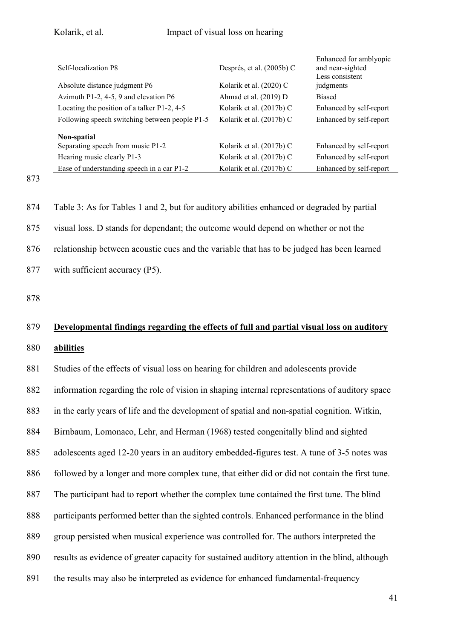| Self-localization P8                           | Després, et al. (2005b) C | Enhanced for amblyopic<br>and near-sighted<br>Less consistent |
|------------------------------------------------|---------------------------|---------------------------------------------------------------|
| Absolute distance judgment P6                  | Kolarik et al. (2020) C   | judgments                                                     |
| Azimuth P1-2, 4-5, 9 and elevation P6          | Ahmad et al. (2019) D     | <b>Biased</b>                                                 |
| Locating the position of a talker P1-2, 4-5    | Kolarik et al. (2017b) C  | Enhanced by self-report                                       |
| Following speech switching between people P1-5 | Kolarik et al. (2017b) C  | Enhanced by self-report                                       |
| Non-spatial                                    |                           |                                                               |
| Separating speech from music P1-2              | Kolarik et al. (2017b) C  | Enhanced by self-report                                       |
| Hearing music clearly P1-3                     | Kolarik et al. (2017b) C  | Enhanced by self-report                                       |
| Ease of understanding speech in a car P1-2     | Kolarik et al. (2017b) C  | Enhanced by self-report                                       |

873

 Table 3: As for Tables 1 and 2, but for auditory abilities enhanced or degraded by partial visual loss. D stands for dependant; the outcome would depend on whether or not the relationship between acoustic cues and the variable that has to be judged has been learned with sufficient accuracy (P5).

878

# 879 **Developmental findings regarding the effects of full and partial visual loss on auditory**

## 880 **abilities**

 Studies of the effects of visual loss on hearing for children and adolescents provide information regarding the role of vision in shaping internal representations of auditory space in the early years of life and the development of spatial and non-spatial cognition. Witkin, Birnbaum, Lomonaco, Lehr, and Herman (1968) tested congenitally blind and sighted adolescents aged 12-20 years in an auditory embedded-figures test. A tune of 3-5 notes was followed by a longer and more complex tune, that either did or did not contain the first tune. The participant had to report whether the complex tune contained the first tune. The blind participants performed better than the sighted controls. Enhanced performance in the blind group persisted when musical experience was controlled for. The authors interpreted the results as evidence of greater capacity for sustained auditory attention in the blind, although the results may also be interpreted as evidence for enhanced fundamental-frequency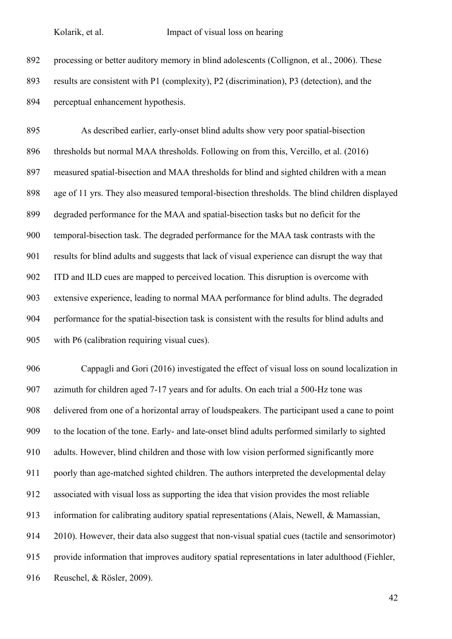processing or better auditory memory in blind adolescents (Collignon, et al., 2006). These results are consistent with P1 (complexity), P2 (discrimination), P3 (detection), and the perceptual enhancement hypothesis.

 As described earlier, early-onset blind adults show very poor spatial-bisection thresholds but normal MAA thresholds. Following on from this, Vercillo, et al. (2016) measured spatial-bisection and MAA thresholds for blind and sighted children with a mean age of 11 yrs. They also measured temporal-bisection thresholds. The blind children displayed degraded performance for the MAA and spatial-bisection tasks but no deficit for the temporal-bisection task. The degraded performance for the MAA task contrasts with the results for blind adults and suggests that lack of visual experience can disrupt the way that ITD and ILD cues are mapped to perceived location. This disruption is overcome with extensive experience, leading to normal MAA performance for blind adults. The degraded performance for the spatial-bisection task is consistent with the results for blind adults and with P6 (calibration requiring visual cues).

 Cappagli and Gori (2016) investigated the effect of visual loss on sound localization in azimuth for children aged 7-17 years and for adults. On each trial a 500-Hz tone was delivered from one of a horizontal array of loudspeakers. The participant used a cane to point to the location of the tone. Early- and late-onset blind adults performed similarly to sighted adults. However, blind children and those with low vision performed significantly more poorly than age-matched sighted children. The authors interpreted the developmental delay associated with visual loss as supporting the idea that vision provides the most reliable information for calibrating auditory spatial representations (Alais, Newell, & Mamassian, 2010). However, their data also suggest that non-visual spatial cues (tactile and sensorimotor) provide information that improves auditory spatial representations in later adulthood (Fiehler, Reuschel, & Rösler, 2009).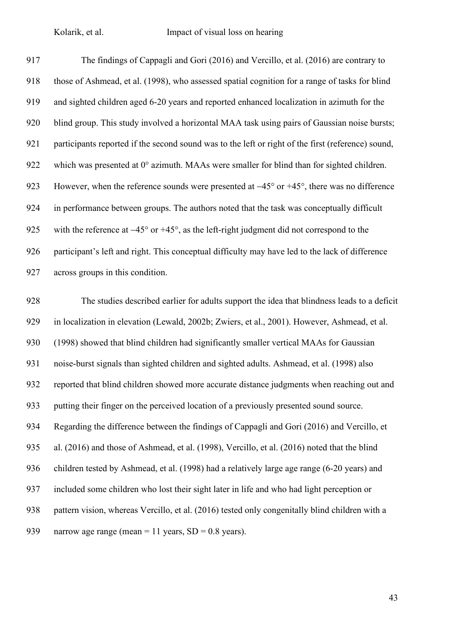The findings of Cappagli and Gori (2016) and Vercillo, et al. (2016) are contrary to those of Ashmead, et al. (1998), who assessed spatial cognition for a range of tasks for blind and sighted children aged 6-20 years and reported enhanced localization in azimuth for the blind group. This study involved a horizontal MAA task using pairs of Gaussian noise bursts; participants reported if the second sound was to the left or right of the first (reference) sound, 922 which was presented at  $0^{\circ}$  azimuth. MAAs were smaller for blind than for sighted children. However, when the reference sounds were presented at −45° or +45°, there was no difference in performance between groups. The authors noted that the task was conceptually difficult 925 with the reference at −45° or +45°, as the left-right judgment did not correspond to the participant's left and right. This conceptual difficulty may have led to the lack of difference across groups in this condition.

 The studies described earlier for adults support the idea that blindness leads to a deficit in localization in elevation (Lewald, 2002b; Zwiers, et al., 2001). However, Ashmead, et al. (1998) showed that blind children had significantly smaller vertical MAAs for Gaussian noise-burst signals than sighted children and sighted adults. Ashmead, et al. (1998) also reported that blind children showed more accurate distance judgments when reaching out and putting their finger on the perceived location of a previously presented sound source. Regarding the difference between the findings of Cappagli and Gori (2016) and Vercillo, et al. (2016) and those of Ashmead, et al. (1998), Vercillo, et al. (2016) noted that the blind children tested by Ashmead, et al. (1998) had a relatively large age range (6-20 years) and included some children who lost their sight later in life and who had light perception or pattern vision, whereas Vercillo, et al. (2016) tested only congenitally blind children with a 939 narrow age range (mean = 11 years,  $SD = 0.8$  years).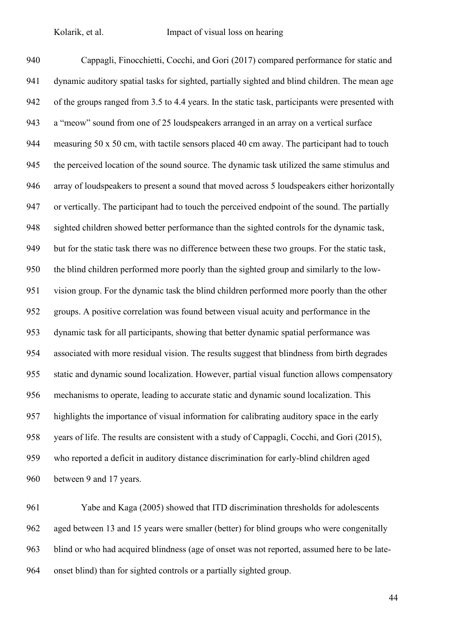Cappagli, Finocchietti, Cocchi, and Gori (2017) compared performance for static and dynamic auditory spatial tasks for sighted, partially sighted and blind children. The mean age of the groups ranged from 3.5 to 4.4 years. In the static task, participants were presented with a "meow" sound from one of 25 loudspeakers arranged in an array on a vertical surface measuring 50 x 50 cm, with tactile sensors placed 40 cm away. The participant had to touch the perceived location of the sound source. The dynamic task utilized the same stimulus and array of loudspeakers to present a sound that moved across 5 loudspeakers either horizontally or vertically. The participant had to touch the perceived endpoint of the sound. The partially sighted children showed better performance than the sighted controls for the dynamic task, but for the static task there was no difference between these two groups. For the static task, the blind children performed more poorly than the sighted group and similarly to the low- vision group. For the dynamic task the blind children performed more poorly than the other groups. A positive correlation was found between visual acuity and performance in the dynamic task for all participants, showing that better dynamic spatial performance was associated with more residual vision. The results suggest that blindness from birth degrades static and dynamic sound localization. However, partial visual function allows compensatory mechanisms to operate, leading to accurate static and dynamic sound localization. This highlights the importance of visual information for calibrating auditory space in the early years of life. The results are consistent with a study of Cappagli, Cocchi, and Gori (2015), who reported a deficit in auditory distance discrimination for early-blind children aged between 9 and 17 years.

 Yabe and Kaga (2005) showed that ITD discrimination thresholds for adolescents aged between 13 and 15 years were smaller (better) for blind groups who were congenitally blind or who had acquired blindness (age of onset was not reported, assumed here to be late-onset blind) than for sighted controls or a partially sighted group.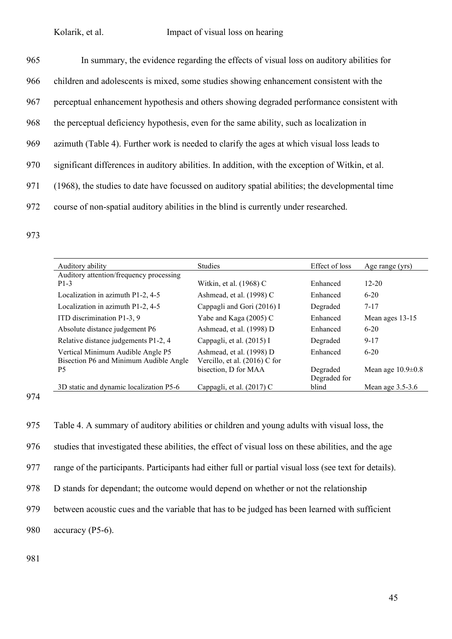| 965 | In summary, the evidence regarding the effects of visual loss on auditory abilities for          |
|-----|--------------------------------------------------------------------------------------------------|
| 966 | children and adolescents is mixed, some studies showing enhancement consistent with the          |
| 967 | perceptual enhancement hypothesis and others showing degraded performance consistent with        |
| 968 | the perceptual deficiency hypothesis, even for the same ability, such as localization in         |
| 969 | azimuth (Table 4). Further work is needed to clarify the ages at which visual loss leads to      |
| 970 | significant differences in auditory abilities. In addition, with the exception of Witkin, et al. |
| 971 | (1968), the studies to date have focussed on auditory spatial abilities; the developmental time  |
| 972 | course of non-spatial auditory abilities in the blind is currently under researched.             |

973

| Auditory ability                        | <b>Studies</b>                  | Effect of loss | Age range (yrs)       |
|-----------------------------------------|---------------------------------|----------------|-----------------------|
| Auditory attention/frequency processing |                                 |                |                       |
| $P1-3$                                  | Witkin, et al. (1968) C         | Enhanced       | $12 - 20$             |
| Localization in azimuth P1-2, 4-5       | Ashmead, et al. (1998) C        | Enhanced       | $6 - 20$              |
| Localization in azimuth P1-2, 4-5       | Cappagli and Gori (2016) I      | Degraded       | $7 - 17$              |
| ITD discrimination P1-3, 9              | Yabe and Kaga (2005) C          | Enhanced       | Mean ages 13-15       |
| Absolute distance judgement P6          | Ashmead, et al. (1998) D        | Enhanced       | $6 - 20$              |
| Relative distance judgements P1-2, 4    | Cappagli, et al. (2015) I       | Degraded       | $9 - 17$              |
| Vertical Minimum Audible Angle P5       | Ashmead, et al. (1998) D        | Enhanced       | $6 - 20$              |
| Bisection P6 and Minimum Audible Angle  | Vercillo, et al. $(2016)$ C for |                |                       |
| P <sub>5</sub>                          | bisection, D for MAA            | Degraded       | Mean age $10.9\pm0.8$ |
|                                         |                                 | Degraded for   |                       |
| 3D static and dynamic localization P5-6 | Cappagli, et al. (2017) C       | blind          | Mean age $3.5-3.6$    |

<sup>974</sup>

975 Table 4. A summary of auditory abilities or children and young adults with visual loss, the

976 studies that investigated these abilities, the effect of visual loss on these abilities, and the age

977 range of the participants. Participants had either full or partial visual loss (see text for details).

978 D stands for dependant; the outcome would depend on whether or not the relationship

979 between acoustic cues and the variable that has to be judged has been learned with sufficient

980 accuracy (P5-6).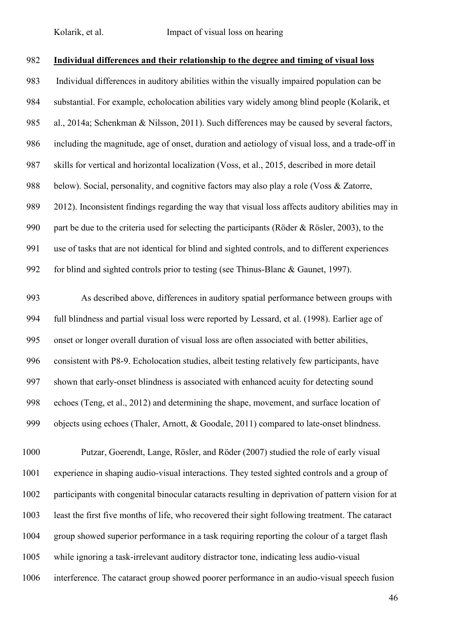### **Individual differences and their relationship to the degree and timing of visual loss**

 Individual differences in auditory abilities within the visually impaired population can be substantial. For example, echolocation abilities vary widely among blind people (Kolarik, et al., 2014a; Schenkman & Nilsson, 2011). Such differences may be caused by several factors, including the magnitude, age of onset, duration and aetiology of visual loss, and a trade-off in skills for vertical and horizontal localization (Voss, et al., 2015, described in more detail 988 below). Social, personality, and cognitive factors may also play a role (Voss & Zatorre, 2012). Inconsistent findings regarding the way that visual loss affects auditory abilities may in part be due to the criteria used for selecting the participants (Röder & Rösler, 2003), to the use of tasks that are not identical for blind and sighted controls, and to different experiences for blind and sighted controls prior to testing (see Thinus-Blanc & Gaunet, 1997).

 As described above, differences in auditory spatial performance between groups with full blindness and partial visual loss were reported by Lessard, et al. (1998). Earlier age of onset or longer overall duration of visual loss are often associated with better abilities, consistent with P8-9. Echolocation studies, albeit testing relatively few participants, have shown that early-onset blindness is associated with enhanced acuity for detecting sound echoes (Teng, et al., 2012) and determining the shape, movement, and surface location of 999 objects using echoes (Thaler, Arnott, & Goodale, 2011) compared to late-onset blindness.

 Putzar, Goerendt, Lange, Rösler, and Röder (2007) studied the role of early visual experience in shaping audio-visual interactions. They tested sighted controls and a group of participants with congenital binocular cataracts resulting in deprivation of pattern vision for at least the first five months of life, who recovered their sight following treatment. The cataract group showed superior performance in a task requiring reporting the colour of a target flash while ignoring a task-irrelevant auditory distractor tone, indicating less audio-visual interference. The cataract group showed poorer performance in an audio-visual speech fusion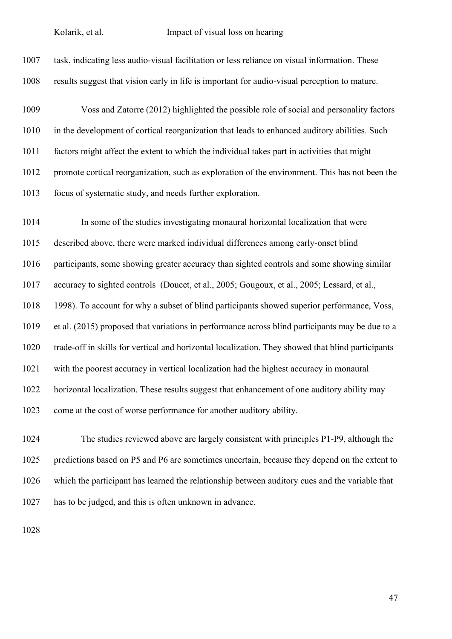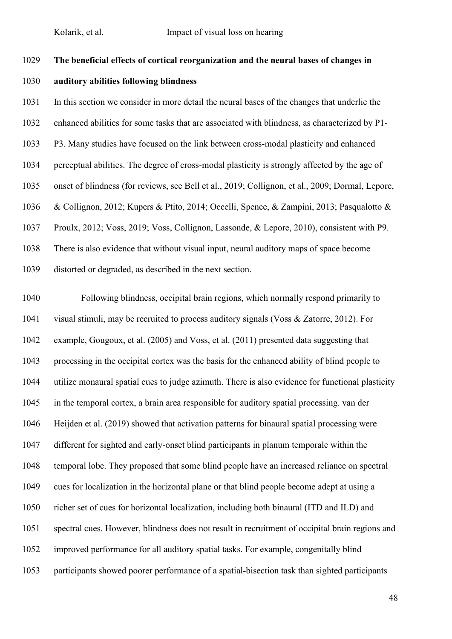## **The beneficial effects of cortical reorganization and the neural bases of changes in**

### **auditory abilities following blindness**

 In this section we consider in more detail the neural bases of the changes that underlie the enhanced abilities for some tasks that are associated with blindness, as characterized by P1- P3. Many studies have focused on the link between cross-modal plasticity and enhanced perceptual abilities. The degree of cross-modal plasticity is strongly affected by the age of onset of blindness (for reviews, see Bell et al., 2019; Collignon, et al., 2009; Dormal, Lepore, & Collignon, 2012; Kupers & Ptito, 2014; Occelli, Spence, & Zampini, 2013; Pasqualotto & Proulx, 2012; Voss, 2019; Voss, Collignon, Lassonde, & Lepore, 2010), consistent with P9. There is also evidence that without visual input, neural auditory maps of space become distorted or degraded, as described in the next section.

 Following blindness, occipital brain regions, which normally respond primarily to visual stimuli, may be recruited to process auditory signals (Voss & Zatorre, 2012). For example, Gougoux, et al. (2005) and Voss, et al. (2011) presented data suggesting that processing in the occipital cortex was the basis for the enhanced ability of blind people to utilize monaural spatial cues to judge azimuth. There is also evidence for functional plasticity in the temporal cortex, a brain area responsible for auditory spatial processing. van der Heijden et al. (2019) showed that activation patterns for binaural spatial processing were different for sighted and early-onset blind participants in planum temporale within the temporal lobe. They proposed that some blind people have an increased reliance on spectral cues for localization in the horizontal plane or that blind people become adept at using a richer set of cues for horizontal localization, including both binaural (ITD and ILD) and spectral cues. However, blindness does not result in recruitment of occipital brain regions and improved performance for all auditory spatial tasks. For example, congenitally blind participants showed poorer performance of a spatial-bisection task than sighted participants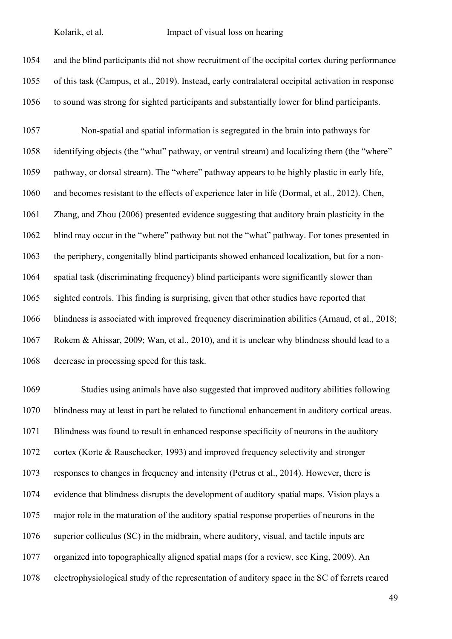

 Studies using animals have also suggested that improved auditory abilities following blindness may at least in part be related to functional enhancement in auditory cortical areas. Blindness was found to result in enhanced response specificity of neurons in the auditory cortex (Korte & Rauschecker, 1993) and improved frequency selectivity and stronger responses to changes in frequency and intensity (Petrus et al., 2014). However, there is evidence that blindness disrupts the development of auditory spatial maps. Vision plays a major role in the maturation of the auditory spatial response properties of neurons in the superior colliculus (SC) in the midbrain, where auditory, visual, and tactile inputs are organized into topographically aligned spatial maps (for a review, see King, 2009). An electrophysiological study of the representation of auditory space in the SC of ferrets reared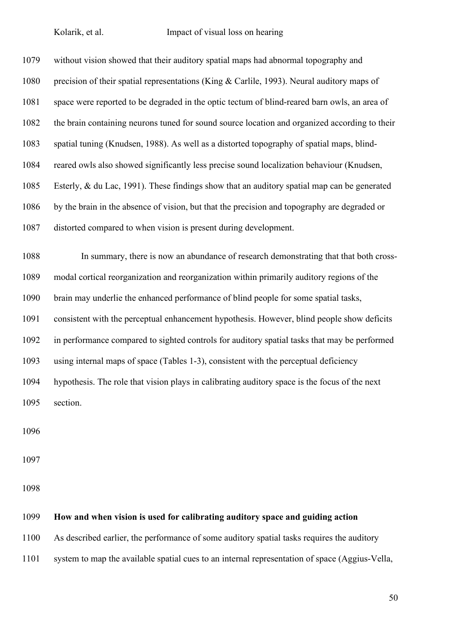| 1079 | without vision showed that their auditory spatial maps had abnormal topography and            |
|------|-----------------------------------------------------------------------------------------------|
| 1080 | precision of their spatial representations (King & Carlile, 1993). Neural auditory maps of    |
| 1081 | space were reported to be degraded in the optic tectum of blind-reared barn owls, an area of  |
| 1082 | the brain containing neurons tuned for sound source location and organized according to their |
| 1083 | spatial tuning (Knudsen, 1988). As well as a distorted topography of spatial maps, blind-     |
| 1084 | reared owls also showed significantly less precise sound localization behaviour (Knudsen,     |
| 1085 | Esterly, & du Lac, 1991). These findings show that an auditory spatial map can be generated   |
| 1086 | by the brain in the absence of vision, but that the precision and topography are degraded or  |
| 1087 | distorted compared to when vision is present during development.                              |
|      |                                                                                               |
| 1088 | In summary, there is now an abundance of research demonstrating that that both cross-         |
| 1089 | modal cortical reorganization and reorganization within primarily auditory regions of the     |
| 1090 | brain may underlie the enhanced performance of blind people for some spatial tasks,           |
| 1091 | consistent with the perceptual enhancement hypothesis. However, blind people show deficits    |
| 1092 | in performance compared to sighted controls for auditory spatial tasks that may be performed  |
| 1093 | using internal maps of space (Tables 1-3), consistent with the perceptual deficiency          |
| 1094 | hypothesis. The role that vision plays in calibrating auditory space is the focus of the next |
| 1095 | section.                                                                                      |

# **How and when vision is used for calibrating auditory space and guiding action**

As described earlier, the performance of some auditory spatial tasks requires the auditory

system to map the available spatial cues to an internal representation of space (Aggius-Vella,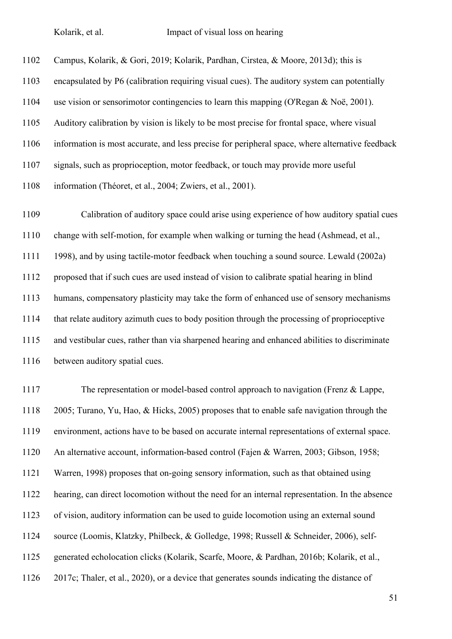Campus, Kolarik, & Gori, 2019; Kolarik, Pardhan, Cirstea, & Moore, 2013d); this is encapsulated by P6 (calibration requiring visual cues). The auditory system can potentially use vision or sensorimotor contingencies to learn this mapping (O'Regan & Noë, 2001). Auditory calibration by vision is likely to be most precise for frontal space, where visual information is most accurate, and less precise for peripheral space, where alternative feedback signals, such as proprioception, motor feedback, or touch may provide more useful information (Théoret, et al., 2004; Zwiers, et al., 2001).

 Calibration of auditory space could arise using experience of how auditory spatial cues change with self-motion, for example when walking or turning the head (Ashmead, et al., 1998), and by using tactile-motor feedback when touching a sound source. Lewald (2002a) proposed that if such cues are used instead of vision to calibrate spatial hearing in blind humans, compensatory plasticity may take the form of enhanced use of sensory mechanisms that relate auditory azimuth cues to body position through the processing of proprioceptive and vestibular cues, rather than via sharpened hearing and enhanced abilities to discriminate 1116 between auditory spatial cues.

 The representation or model-based control approach to navigation (Frenz & Lappe, 2005; Turano, Yu, Hao, & Hicks, 2005) proposes that to enable safe navigation through the environment, actions have to be based on accurate internal representations of external space. An alternative account, information-based control (Fajen & Warren, 2003; Gibson, 1958; Warren, 1998) proposes that on-going sensory information, such as that obtained using hearing, can direct locomotion without the need for an internal representation. In the absence of vision, auditory information can be used to guide locomotion using an external sound source (Loomis, Klatzky, Philbeck, & Golledge, 1998; Russell & Schneider, 2006), self- generated echolocation clicks (Kolarik, Scarfe, Moore, & Pardhan, 2016b; Kolarik, et al., 2017c; Thaler, et al., 2020), or a device that generates sounds indicating the distance of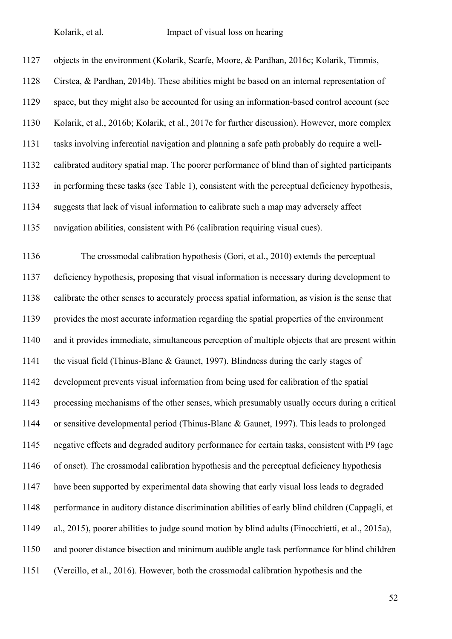objects in the environment (Kolarik, Scarfe, Moore, & Pardhan, 2016c; Kolarik, Timmis, Cirstea, & Pardhan, 2014b). These abilities might be based on an internal representation of space, but they might also be accounted for using an information-based control account (see Kolarik, et al., 2016b; Kolarik, et al., 2017c for further discussion). However, more complex tasks involving inferential navigation and planning a safe path probably do require a well- calibrated auditory spatial map. The poorer performance of blind than of sighted participants in performing these tasks (see Table 1), consistent with the perceptual deficiency hypothesis, suggests that lack of visual information to calibrate such a map may adversely affect navigation abilities, consistent with P6 (calibration requiring visual cues). The crossmodal calibration hypothesis (Gori, et al., 2010) extends the perceptual

 deficiency hypothesis, proposing that visual information is necessary during development to calibrate the other senses to accurately process spatial information, as vision is the sense that provides the most accurate information regarding the spatial properties of the environment and it provides immediate, simultaneous perception of multiple objects that are present within the visual field (Thinus-Blanc & Gaunet, 1997). Blindness during the early stages of development prevents visual information from being used for calibration of the spatial processing mechanisms of the other senses, which presumably usually occurs during a critical or sensitive developmental period (Thinus-Blanc & Gaunet, 1997). This leads to prolonged negative effects and degraded auditory performance for certain tasks, consistent with P9 (age of onset). The crossmodal calibration hypothesis and the perceptual deficiency hypothesis have been supported by experimental data showing that early visual loss leads to degraded performance in auditory distance discrimination abilities of early blind children (Cappagli, et al., 2015), poorer abilities to judge sound motion by blind adults (Finocchietti, et al., 2015a), and poorer distance bisection and minimum audible angle task performance for blind children (Vercillo, et al., 2016). However, both the crossmodal calibration hypothesis and the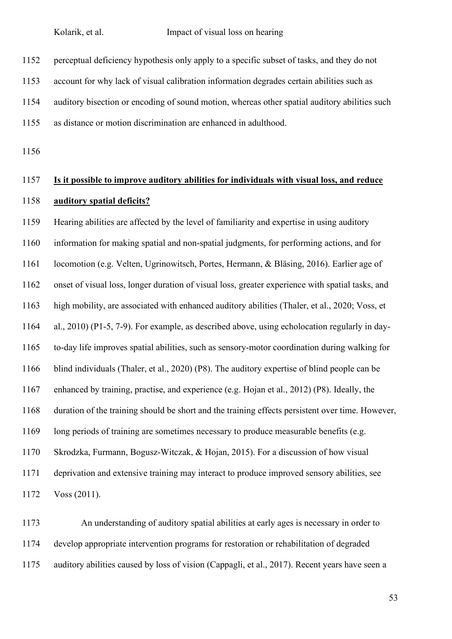perceptual deficiency hypothesis only apply to a specific subset of tasks, and they do not

account for why lack of visual calibration information degrades certain abilities such as

auditory bisection or encoding of sound motion, whereas other spatial auditory abilities such

as distance or motion discrimination are enhanced in adulthood.

# **Is it possible to improve auditory abilities for individuals with visual loss, and reduce auditory spatial deficits?**

 Hearing abilities are affected by the level of familiarity and expertise in using auditory information for making spatial and non-spatial judgments, for performing actions, and for locomotion (e.g. Velten, Ugrinowitsch, Portes, Hermann, & Bläsing, 2016). Earlier age of onset of visual loss, longer duration of visual loss, greater experience with spatial tasks, and high mobility, are associated with enhanced auditory abilities (Thaler, et al., 2020; Voss, et al., 2010) (P1-5, 7-9). For example, as described above, using echolocation regularly in day- to-day life improves spatial abilities, such as sensory-motor coordination during walking for blind individuals (Thaler, et al., 2020) (P8). The auditory expertise of blind people can be enhanced by training, practise, and experience (e.g. Hojan et al., 2012) (P8). Ideally, the duration of the training should be short and the training effects persistent over time. However, long periods of training are sometimes necessary to produce measurable benefits (e.g. Skrodzka, Furmann, Bogusz-Witczak, & Hojan, 2015). For a discussion of how visual deprivation and extensive training may interact to produce improved sensory abilities, see Voss (2011).

 An understanding of auditory spatial abilities at early ages is necessary in order to develop appropriate intervention programs for restoration or rehabilitation of degraded auditory abilities caused by loss of vision (Cappagli, et al., 2017). Recent years have seen a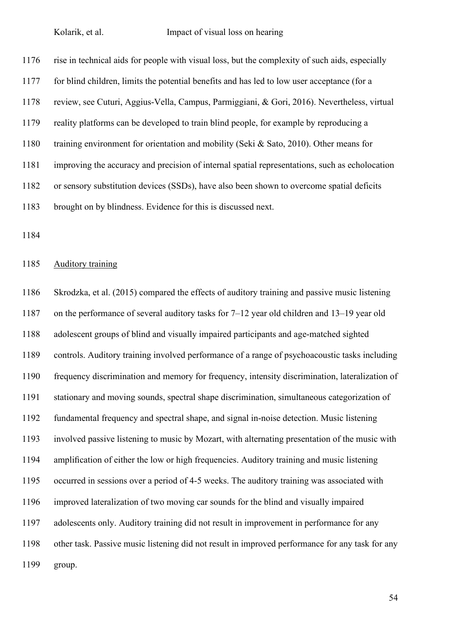rise in technical aids for people with visual loss, but the complexity of such aids, especially for blind children, limits the potential benefits and has led to low user acceptance (for a review, see Cuturi, Aggius-Vella, Campus, Parmiggiani, & Gori, 2016). Nevertheless, virtual reality platforms can be developed to train blind people, for example by reproducing a training environment for orientation and mobility (Seki & Sato, 2010). Other means for improving the accuracy and precision of internal spatial representations, such as echolocation or sensory substitution devices (SSDs), have also been shown to overcome spatial deficits brought on by blindness. Evidence for this is discussed next.

### Auditory training

 Skrodzka, et al. (2015) compared the effects of auditory training and passive music listening on the performance of several auditory tasks for 7–12 year old children and 13–19 year old adolescent groups of blind and visually impaired participants and age-matched sighted controls. Auditory training involved performance of a range of psychoacoustic tasks including frequency discrimination and memory for frequency, intensity discrimination, lateralization of stationary and moving sounds, spectral shape discrimination, simultaneous categorization of fundamental frequency and spectral shape, and signal in-noise detection. Music listening involved passive listening to music by Mozart, with alternating presentation of the music with amplification of either the low or high frequencies. Auditory training and music listening occurred in sessions over a period of 4-5 weeks. The auditory training was associated with improved lateralization of two moving car sounds for the blind and visually impaired adolescents only. Auditory training did not result in improvement in performance for any other task. Passive music listening did not result in improved performance for any task for any group.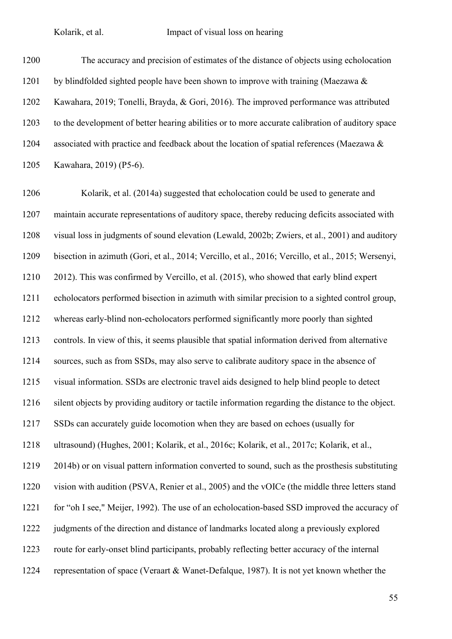The accuracy and precision of estimates of the distance of objects using echolocation 1201 by blindfolded sighted people have been shown to improve with training (Maezawa  $\&$  Kawahara, 2019; Tonelli, Brayda, & Gori, 2016). The improved performance was attributed to the development of better hearing abilities or to more accurate calibration of auditory space associated with practice and feedback about the location of spatial references (Maezawa & Kawahara, 2019) (P5-6).

 Kolarik, et al. (2014a) suggested that echolocation could be used to generate and maintain accurate representations of auditory space, thereby reducing deficits associated with visual loss in judgments of sound elevation (Lewald, 2002b; Zwiers, et al., 2001) and auditory bisection in azimuth (Gori, et al., 2014; Vercillo, et al., 2016; Vercillo, et al., 2015; Wersenyi, 2012). This was confirmed by Vercillo, et al. (2015), who showed that early blind expert echolocators performed bisection in azimuth with similar precision to a sighted control group, whereas early-blind non-echolocators performed significantly more poorly than sighted controls. In view of this, it seems plausible that spatial information derived from alternative sources, such as from SSDs, may also serve to calibrate auditory space in the absence of visual information. SSDs are electronic travel aids designed to help blind people to detect silent objects by providing auditory or tactile information regarding the distance to the object. SSDs can accurately guide locomotion when they are based on echoes (usually for ultrasound) (Hughes, 2001; Kolarik, et al., 2016c; Kolarik, et al., 2017c; Kolarik, et al., 2014b) or on visual pattern information converted to sound, such as the prosthesis substituting vision with audition (PSVA, Renier et al., 2005) and the vOICe (the middle three letters stand for "oh I see," Meijer, 1992). The use of an echolocation-based SSD improved the accuracy of judgments of the direction and distance of landmarks located along a previously explored route for early-onset blind participants, probably reflecting better accuracy of the internal representation of space (Veraart & Wanet-Defalque, 1987). It is not yet known whether the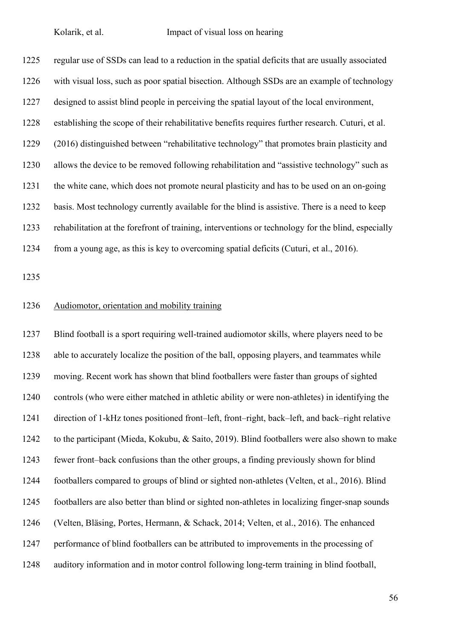regular use of SSDs can lead to a reduction in the spatial deficits that are usually associated with visual loss, such as poor spatial bisection. Although SSDs are an example of technology designed to assist blind people in perceiving the spatial layout of the local environment, establishing the scope of their rehabilitative benefits requires further research. Cuturi, et al. (2016) distinguished between "rehabilitative technology" that promotes brain plasticity and allows the device to be removed following rehabilitation and "assistive technology" such as the white cane, which does not promote neural plasticity and has to be used on an on-going basis. Most technology currently available for the blind is assistive. There is a need to keep rehabilitation at the forefront of training, interventions or technology for the blind, especially from a young age, as this is key to overcoming spatial deficits (Cuturi, et al., 2016).

### Audiomotor, orientation and mobility training

 Blind football is a sport requiring well-trained audiomotor skills, where players need to be able to accurately localize the position of the ball, opposing players, and teammates while moving. Recent work has shown that blind footballers were faster than groups of sighted controls (who were either matched in athletic ability or were non-athletes) in identifying the direction of 1-kHz tones positioned front–left, front–right, back–left, and back–right relative to the participant (Mieda, Kokubu, & Saito, 2019). Blind footballers were also shown to make fewer front–back confusions than the other groups, a finding previously shown for blind footballers compared to groups of blind or sighted non-athletes (Velten, et al., 2016). Blind footballers are also better than blind or sighted non-athletes in localizing finger-snap sounds (Velten, Bläsing, Portes, Hermann, & Schack, 2014; Velten, et al., 2016). The enhanced performance of blind footballers can be attributed to improvements in the processing of auditory information and in motor control following long-term training in blind football,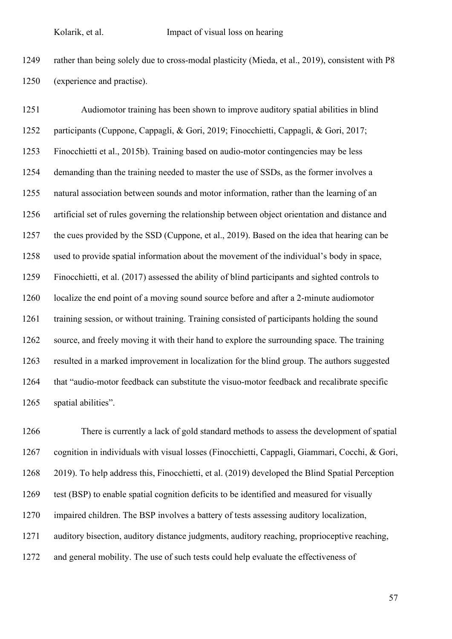rather than being solely due to cross-modal plasticity (Mieda, et al., 2019), consistent with P8 (experience and practise).

 Audiomotor training has been shown to improve auditory spatial abilities in blind participants (Cuppone, Cappagli, & Gori, 2019; Finocchietti, Cappagli, & Gori, 2017; Finocchietti et al., 2015b). Training based on audio-motor contingencies may be less demanding than the training needed to master the use of SSDs, as the former involves a natural association between sounds and motor information, rather than the learning of an artificial set of rules governing the relationship between object orientation and distance and the cues provided by the SSD (Cuppone, et al., 2019). Based on the idea that hearing can be used to provide spatial information about the movement of the individual's body in space, Finocchietti, et al. (2017) assessed the ability of blind participants and sighted controls to localize the end point of a moving sound source before and after a 2-minute audiomotor training session, or without training. Training consisted of participants holding the sound source, and freely moving it with their hand to explore the surrounding space. The training resulted in a marked improvement in localization for the blind group. The authors suggested that "audio-motor feedback can substitute the visuo-motor feedback and recalibrate specific spatial abilities".

 There is currently a lack of gold standard methods to assess the development of spatial cognition in individuals with visual losses (Finocchietti, Cappagli, Giammari, Cocchi, & Gori, 2019). To help address this, Finocchietti, et al. (2019) developed the Blind Spatial Perception test (BSP) to enable spatial cognition deficits to be identified and measured for visually impaired children. The BSP involves a battery of tests assessing auditory localization, auditory bisection, auditory distance judgments, auditory reaching, proprioceptive reaching, and general mobility. The use of such tests could help evaluate the effectiveness of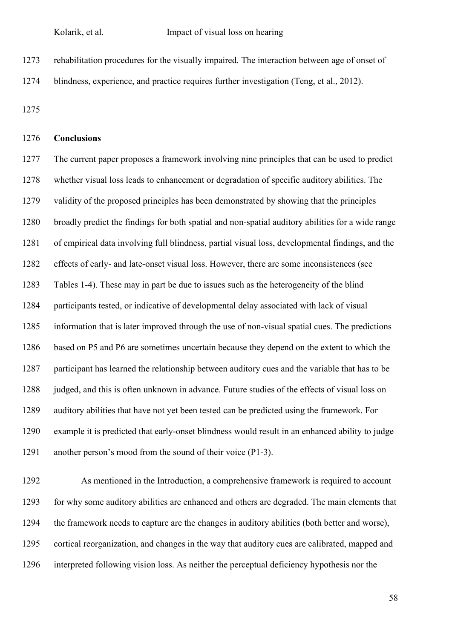rehabilitation procedures for the visually impaired. The interaction between age of onset of blindness, experience, and practice requires further investigation (Teng, et al., 2012).

# **Conclusions**

 The current paper proposes a framework involving nine principles that can be used to predict whether visual loss leads to enhancement or degradation of specific auditory abilities. The validity of the proposed principles has been demonstrated by showing that the principles broadly predict the findings for both spatial and non-spatial auditory abilities for a wide range of empirical data involving full blindness, partial visual loss, developmental findings, and the effects of early- and late-onset visual loss. However, there are some inconsistences (see Tables 1-4). These may in part be due to issues such as the heterogeneity of the blind participants tested, or indicative of developmental delay associated with lack of visual information that is later improved through the use of non-visual spatial cues. The predictions based on P5 and P6 are sometimes uncertain because they depend on the extent to which the participant has learned the relationship between auditory cues and the variable that has to be judged, and this is often unknown in advance. Future studies of the effects of visual loss on auditory abilities that have not yet been tested can be predicted using the framework. For example it is predicted that early-onset blindness would result in an enhanced ability to judge another person's mood from the sound of their voice (P1-3).

 As mentioned in the Introduction, a comprehensive framework is required to account for why some auditory abilities are enhanced and others are degraded. The main elements that the framework needs to capture are the changes in auditory abilities (both better and worse), cortical reorganization, and changes in the way that auditory cues are calibrated, mapped and interpreted following vision loss. As neither the perceptual deficiency hypothesis nor the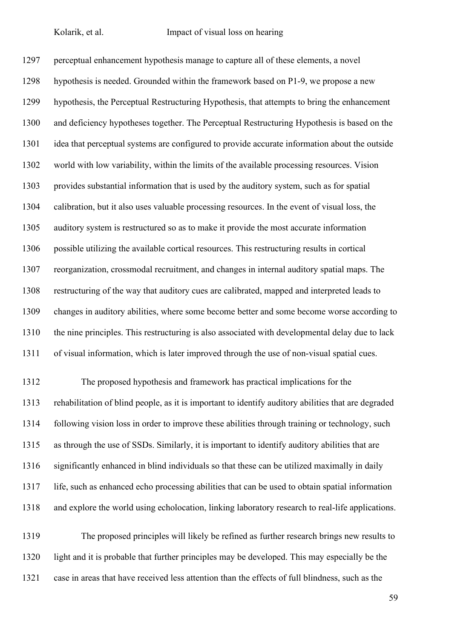perceptual enhancement hypothesis manage to capture all of these elements, a novel hypothesis is needed. Grounded within the framework based on P1-9, we propose a new hypothesis, the Perceptual Restructuring Hypothesis, that attempts to bring the enhancement and deficiency hypotheses together. The Perceptual Restructuring Hypothesis is based on the idea that perceptual systems are configured to provide accurate information about the outside world with low variability, within the limits of the available processing resources. Vision provides substantial information that is used by the auditory system, such as for spatial calibration, but it also uses valuable processing resources. In the event of visual loss, the auditory system is restructured so as to make it provide the most accurate information possible utilizing the available cortical resources. This restructuring results in cortical reorganization, crossmodal recruitment, and changes in internal auditory spatial maps. The restructuring of the way that auditory cues are calibrated, mapped and interpreted leads to changes in auditory abilities, where some become better and some become worse according to the nine principles. This restructuring is also associated with developmental delay due to lack of visual information, which is later improved through the use of non-visual spatial cues.

 The proposed hypothesis and framework has practical implications for the rehabilitation of blind people, as it is important to identify auditory abilities that are degraded following vision loss in order to improve these abilities through training or technology, such as through the use of SSDs. Similarly, it is important to identify auditory abilities that are significantly enhanced in blind individuals so that these can be utilized maximally in daily life, such as enhanced echo processing abilities that can be used to obtain spatial information and explore the world using echolocation, linking laboratory research to real-life applications.

 The proposed principles will likely be refined as further research brings new results to light and it is probable that further principles may be developed. This may especially be the case in areas that have received less attention than the effects of full blindness, such as the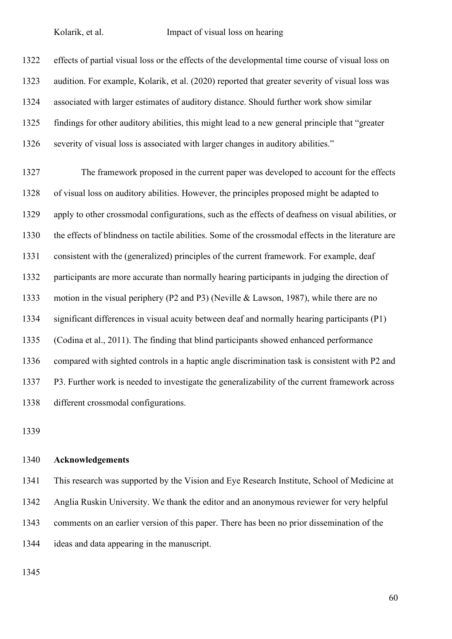effects of partial visual loss or the effects of the developmental time course of visual loss on audition. For example, Kolarik, et al. (2020) reported that greater severity of visual loss was associated with larger estimates of auditory distance. Should further work show similar findings for other auditory abilities, this might lead to a new general principle that "greater severity of visual loss is associated with larger changes in auditory abilities." The framework proposed in the current paper was developed to account for the effects of visual loss on auditory abilities. However, the principles proposed might be adapted to apply to other crossmodal configurations, such as the effects of deafness on visual abilities, or the effects of blindness on tactile abilities. Some of the crossmodal effects in the literature are consistent with the (generalized) principles of the current framework. For example, deaf participants are more accurate than normally hearing participants in judging the direction of motion in the visual periphery (P2 and P3) (Neville & Lawson, 1987), while there are no significant differences in visual acuity between deaf and normally hearing participants (P1) (Codina et al., 2011). The finding that blind participants showed enhanced performance compared with sighted controls in a haptic angle discrimination task is consistent with P2 and P3. Further work is needed to investigate the generalizability of the current framework across

different crossmodal configurations.

#### **Acknowledgements**

 This research was supported by the Vision and Eye Research Institute, School of Medicine at Anglia Ruskin University. We thank the editor and an anonymous reviewer for very helpful comments on an earlier version of this paper. There has been no prior dissemination of the ideas and data appearing in the manuscript.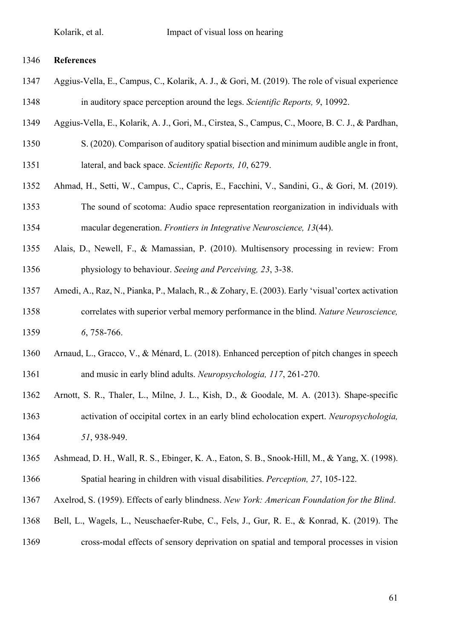### **References**

- Aggius-Vella, E., Campus, C., Kolarik, A. J., & Gori, M. (2019). The role of visual experience in auditory space perception around the legs. *Scientific Reports, 9*, 10992.
- Aggius-Vella, E., Kolarik, A. J., Gori, M., Cirstea, S., Campus, C., Moore, B. C. J., & Pardhan,
- S. (2020). Comparison of auditory spatial bisection and minimum audible angle in front, lateral, and back space. *Scientific Reports, 10*, 6279.
- Ahmad, H., Setti, W., Campus, C., Capris, E., Facchini, V., Sandini, G., & Gori, M. (2019). The sound of scotoma: Audio space representation reorganization in individuals with macular degeneration. *Frontiers in Integrative Neuroscience, 13*(44).
- Alais, D., Newell, F., & Mamassian, P. (2010). Multisensory processing in review: From physiology to behaviour. *Seeing and Perceiving, 23*, 3-38.
- Amedi, A., Raz, N., Pianka, P., Malach, R., & Zohary, E. (2003). Early 'visual'cortex activation correlates with superior verbal memory performance in the blind. *Nature Neuroscience, 6*, 758-766.
- Arnaud, L., Gracco, V., & Ménard, L. (2018). Enhanced perception of pitch changes in speech and music in early blind adults. *Neuropsychologia, 117*, 261-270.
- Arnott, S. R., Thaler, L., Milne, J. L., Kish, D., & Goodale, M. A. (2013). Shape-specific activation of occipital cortex in an early blind echolocation expert. *Neuropsychologia, 51*, 938-949.
- Ashmead, D. H., Wall, R. S., Ebinger, K. A., Eaton, S. B., Snook-Hill, M., & Yang, X. (1998).
- Spatial hearing in children with visual disabilities. *Perception, 27*, 105-122.
- Axelrod, S. (1959). Effects of early blindness. *New York: American Foundation for the Blind*.
- Bell, L., Wagels, L., Neuschaefer-Rube, C., Fels, J., Gur, R. E., & Konrad, K. (2019). The
- cross-modal effects of sensory deprivation on spatial and temporal processes in vision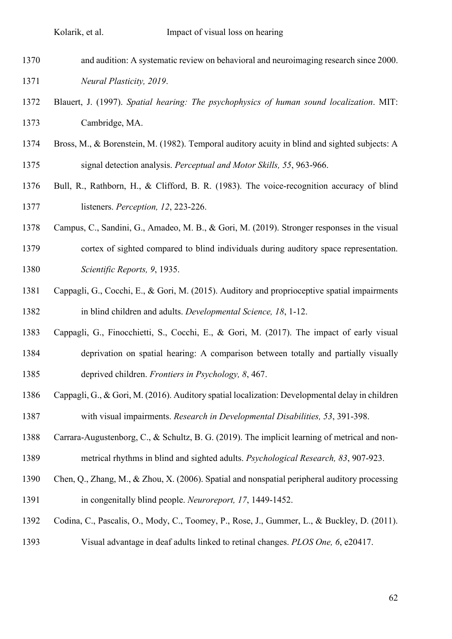- and audition: A systematic review on behavioral and neuroimaging research since 2000. *Neural Plasticity, 2019*.
- Blauert, J. (1997). *Spatial hearing: The psychophysics of human sound localization*. MIT: Cambridge, MA.
- Bross, M., & Borenstein, M. (1982). Temporal auditory acuity in blind and sighted subjects: A signal detection analysis. *Perceptual and Motor Skills, 55*, 963-966.
- Bull, R., Rathborn, H., & Clifford, B. R. (1983). The voice-recognition accuracy of blind listeners. *Perception, 12*, 223-226.
- Campus, C., Sandini, G., Amadeo, M. B., & Gori, M. (2019). Stronger responses in the visual cortex of sighted compared to blind individuals during auditory space representation. *Scientific Reports, 9*, 1935.
- Cappagli, G., Cocchi, E., & Gori, M. (2015). Auditory and proprioceptive spatial impairments in blind children and adults. *Developmental Science, 18*, 1-12.
- Cappagli, G., Finocchietti, S., Cocchi, E., & Gori, M. (2017). The impact of early visual deprivation on spatial hearing: A comparison between totally and partially visually deprived children. *Frontiers in Psychology, 8*, 467.
- Cappagli, G., & Gori, M. (2016). Auditory spatial localization: Developmental delay in children with visual impairments. *Research in Developmental Disabilities, 53*, 391-398.
- Carrara-Augustenborg, C., & Schultz, B. G. (2019). The implicit learning of metrical and non-metrical rhythms in blind and sighted adults. *Psychological Research, 83*, 907-923.
- Chen, Q., Zhang, M., & Zhou, X. (2006). Spatial and nonspatial peripheral auditory processing in congenitally blind people. *Neuroreport, 17*, 1449-1452.
- Codina, C., Pascalis, O., Mody, C., Toomey, P., Rose, J., Gummer, L., & Buckley, D. (2011).
- Visual advantage in deaf adults linked to retinal changes. *PLOS One, 6*, e20417.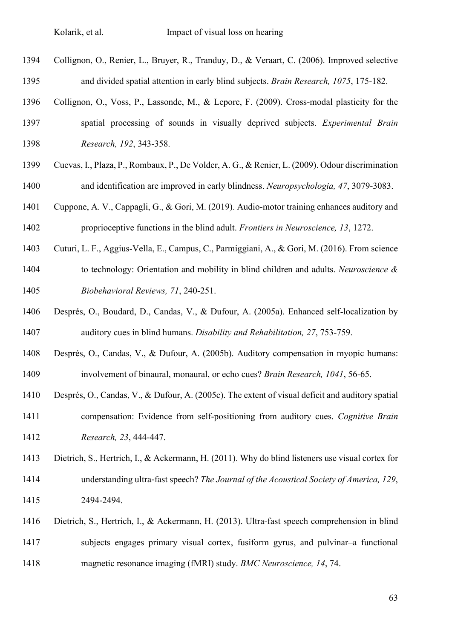- Collignon, O., Renier, L., Bruyer, R., Tranduy, D., & Veraart, C. (2006). Improved selective and divided spatial attention in early blind subjects. *Brain Research, 1075*, 175-182.
- Collignon, O., Voss, P., Lassonde, M., & Lepore, F. (2009). Cross-modal plasticity for the spatial processing of sounds in visually deprived subjects. *Experimental Brain Research, 192*, 343-358.
- Cuevas, I., Plaza, P., Rombaux, P., De Volder, A. G., & Renier, L. (2009). Odour discrimination and identification are improved in early blindness. *Neuropsychologia, 47*, 3079-3083.
- Cuppone, A. V., Cappagli, G., & Gori, M. (2019). Audio-motor training enhances auditory and proprioceptive functions in the blind adult. *Frontiers in Neuroscience, 13*, 1272.
- Cuturi, L. F., Aggius-Vella, E., Campus, C., Parmiggiani, A., & Gori, M. (2016). From science to technology: Orientation and mobility in blind children and adults. *Neuroscience & Biobehavioral Reviews, 71*, 240-251.
- Després, O., Boudard, D., Candas, V., & Dufour, A. (2005a). Enhanced self-localization by auditory cues in blind humans. *Disability and Rehabilitation, 27*, 753-759.
- Després, O., Candas, V., & Dufour, A. (2005b). Auditory compensation in myopic humans: involvement of binaural, monaural, or echo cues? *Brain Research, 1041*, 56-65.
- Després, O., Candas, V., & Dufour, A. (2005c). The extent of visual deficit and auditory spatial compensation: Evidence from self-positioning from auditory cues. *Cognitive Brain Research, 23*, 444-447.
- Dietrich, S., Hertrich, I., & Ackermann, H. (2011). Why do blind listeners use visual cortex for understanding ultra‐fast speech? *The Journal of the Acoustical Society of America, 129*, 2494-2494.
- Dietrich, S., Hertrich, I., & Ackermann, H. (2013). Ultra-fast speech comprehension in blind subjects engages primary visual cortex, fusiform gyrus, and pulvinar–a functional magnetic resonance imaging (fMRI) study. *BMC Neuroscience, 14*, 74.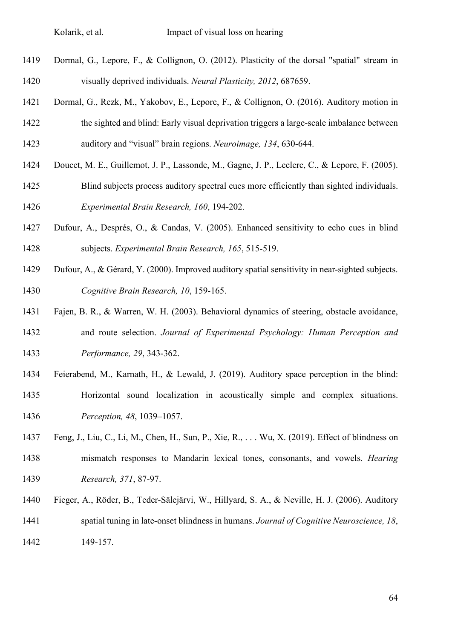- Dormal, G., Lepore, F., & Collignon, O. (2012). Plasticity of the dorsal "spatial" stream in visually deprived individuals. *Neural Plasticity, 2012*, 687659.
- Dormal, G., Rezk, M., Yakobov, E., Lepore, F., & Collignon, O. (2016). Auditory motion in the sighted and blind: Early visual deprivation triggers a large-scale imbalance between auditory and "visual" brain regions. *Neuroimage, 134*, 630-644.
- Doucet, M. E., Guillemot, J. P., Lassonde, M., Gagne, J. P., Leclerc, C., & Lepore, F. (2005).
- Blind subjects process auditory spectral cues more efficiently than sighted individuals. *Experimental Brain Research, 160*, 194-202.
- Dufour, A., Després, O., & Candas, V. (2005). Enhanced sensitivity to echo cues in blind subjects. *Experimental Brain Research, 165*, 515-519.
- Dufour, A., & Gérard, Y. (2000). Improved auditory spatial sensitivity in near-sighted subjects. *Cognitive Brain Research, 10*, 159-165.
- Fajen, B. R., & Warren, W. H. (2003). Behavioral dynamics of steering, obstacle avoidance, and route selection. *Journal of Experimental Psychology: Human Perception and Performance, 29*, 343-362.
- Feierabend, M., Karnath, H., & Lewald, J. (2019). Auditory space perception in the blind: Horizontal sound localization in acoustically simple and complex situations. *Perception, 48*, 1039–1057.
- Feng, J., Liu, C., Li, M., Chen, H., Sun, P., Xie, R., . . . Wu, X. (2019). Effect of blindness on mismatch responses to Mandarin lexical tones, consonants, and vowels. *Hearing Research, 371*, 87-97.
- Fieger, A., Röder, B., Teder-Sälejärvi, W., Hillyard, S. A., & Neville, H. J. (2006). Auditory spatial tuning in late-onset blindness in humans. *Journal of Cognitive Neuroscience, 18*, 149-157.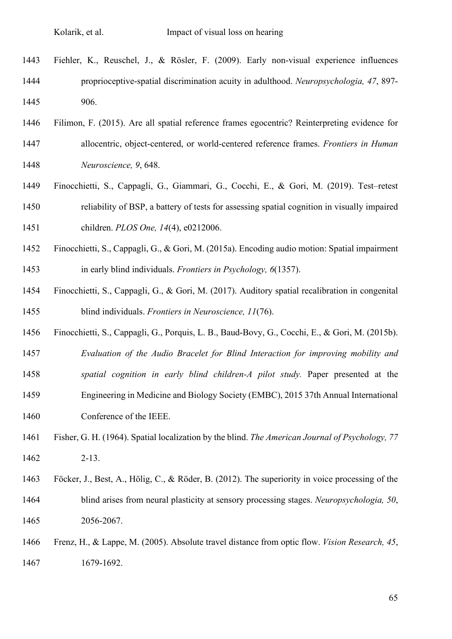- Fiehler, K., Reuschel, J., & Rösler, F. (2009). Early non-visual experience influences proprioceptive-spatial discrimination acuity in adulthood. *Neuropsychologia, 47*, 897- 906.
- Filimon, F. (2015). Are all spatial reference frames egocentric? Reinterpreting evidence for allocentric, object-centered, or world-centered reference frames. *Frontiers in Human Neuroscience, 9*, 648.
- Finocchietti, S., Cappagli, G., Giammari, G., Cocchi, E., & Gori, M. (2019). Test–retest reliability of BSP, a battery of tests for assessing spatial cognition in visually impaired children. *PLOS One, 14*(4), e0212006.
- Finocchietti, S., Cappagli, G., & Gori, M. (2015a). Encoding audio motion: Spatial impairment in early blind individuals. *Frontiers in Psychology, 6*(1357).
- Finocchietti, S., Cappagli, G., & Gori, M. (2017). Auditory spatial recalibration in congenital blind individuals. *Frontiers in Neuroscience, 11*(76).
- Finocchietti, S., Cappagli, G., Porquis, L. B., Baud-Bovy, G., Cocchi, E., & Gori, M. (2015b).
- *Evaluation of the Audio Bracelet for Blind Interaction for improving mobility and*
- *spatial cognition in early blind children-A pilot study.* Paper presented at the
- Engineering in Medicine and Biology Society (EMBC), 2015 37th Annual International Conference of the IEEE.
- Fisher, G. H. (1964). Spatial localization by the blind. *The American Journal of Psychology, 77*  2-13.
- Föcker, J., Best, A., Hölig, C., & Röder, B. (2012). The superiority in voice processing of the blind arises from neural plasticity at sensory processing stages. *Neuropsychologia, 50*, 2056-2067.
- Frenz, H., & Lappe, M. (2005). Absolute travel distance from optic flow. *Vision Research, 45*, 1679-1692.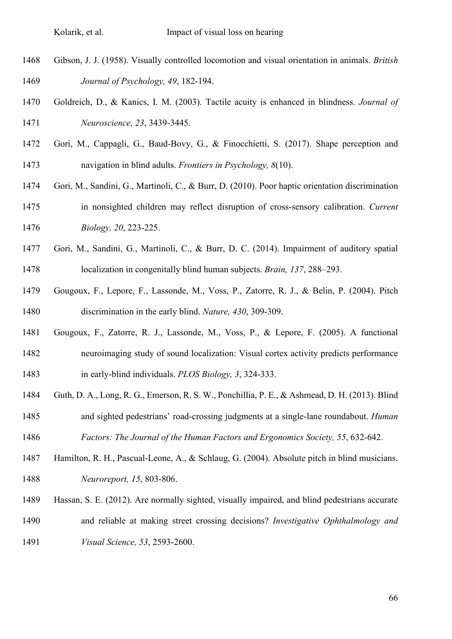- Gibson, J. J. (1958). Visually controlled locomotion and visual orientation in animals. *British Journal of Psychology, 49*, 182-194.
- Goldreich, D., & Kanics, I. M. (2003). Tactile acuity is enhanced in blindness. *Journal of Neuroscience, 23*, 3439-3445.
- Gori, M., Cappagli, G., Baud-Bovy, G., & Finocchietti, S. (2017). Shape perception and navigation in blind adults. *Frontiers in Psychology, 8*(10).
- Gori, M., Sandini, G., Martinoli, C., & Burr, D. (2010). Poor haptic orientation discrimination in nonsighted children may reflect disruption of cross-sensory calibration. *Current Biology, 20*, 223-225.
- Gori, M., Sandini, G., Martinoli, C., & Burr, D. C. (2014). Impairment of auditory spatial localization in congenitally blind human subjects. *Brain, 137*, 288–293.
- Gougoux, F., Lepore, F., Lassonde, M., Voss, P., Zatorre, R. J., & Belin, P. (2004). Pitch discrimination in the early blind. *Nature, 430*, 309-309.
- Gougoux, F., Zatorre, R. J., Lassonde, M., Voss, P., & Lepore, F. (2005). A functional neuroimaging study of sound localization: Visual cortex activity predicts performance in early-blind individuals. *PLOS Biology, 3*, 324-333.
- Guth, D. A., Long, R. G., Emerson, R. S. W., Ponchillia, P. E., & Ashmead, D. H. (2013). Blind and sighted pedestrians' road-crossing judgments at a single-lane roundabout. *Human*
- *Factors: The Journal of the Human Factors and Ergonomics Society, 55*, 632-642.
- Hamilton, R. H., Pascual-Leone, A., & Schlaug, G. (2004). Absolute pitch in blind musicians. *Neuroreport, 15*, 803-806.
- Hassan, S. E. (2012). Are normally sighted, visually impaired, and blind pedestrians accurate
- and reliable at making street crossing decisions? *Investigative Ophthalmology and Visual Science, 53*, 2593-2600.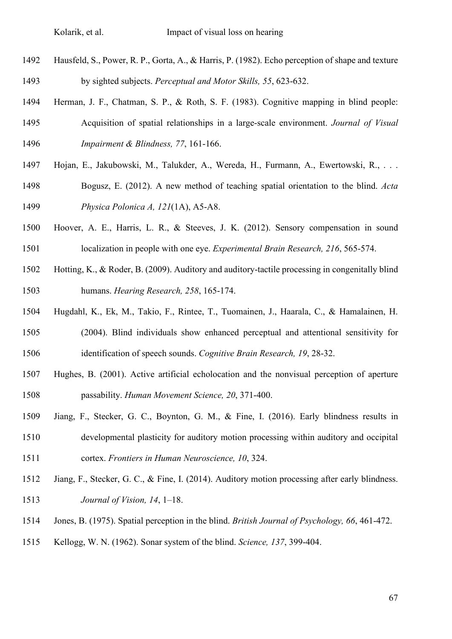- Hausfeld, S., Power, R. P., Gorta, A., & Harris, P. (1982). Echo perception of shape and texture by sighted subjects. *Perceptual and Motor Skills, 55*, 623-632.
- Herman, J. F., Chatman, S. P., & Roth, S. F. (1983). Cognitive mapping in blind people: Acquisition of spatial relationships in a large-scale environment. *Journal of Visual Impairment & Blindness, 77*, 161-166.
- Hojan, E., Jakubowski, M., Talukder, A., Wereda, H., Furmann, A., Ewertowski, R., . . .
- Bogusz, E. (2012). A new method of teaching spatial orientation to the blind. *Acta Physica Polonica A, 121*(1A), A5-A8.
- Hoover, A. E., Harris, L. R., & Steeves, J. K. (2012). Sensory compensation in sound localization in people with one eye. *Experimental Brain Research, 216*, 565-574.
- Hotting, K., & Roder, B. (2009). Auditory and auditory-tactile processing in congenitally blind humans. *Hearing Research, 258*, 165-174.
- Hugdahl, K., Ek, M., Takio, F., Rintee, T., Tuomainen, J., Haarala, C., & Hamalainen, H. (2004). Blind individuals show enhanced perceptual and attentional sensitivity for
- identification of speech sounds. *Cognitive Brain Research, 19*, 28-32.
- Hughes, B. (2001). Active artificial echolocation and the nonvisual perception of aperture passability. *Human Movement Science, 20*, 371-400.
- Jiang, F., Stecker, G. C., Boynton, G. M., & Fine, I. (2016). Early blindness results in developmental plasticity for auditory motion processing within auditory and occipital cortex. *Frontiers in Human Neuroscience, 10*, 324.
- Jiang, F., Stecker, G. C., & Fine, I. (2014). Auditory motion processing after early blindness. *Journal of Vision, 14*, 1–18.
- Jones, B. (1975). Spatial perception in the blind. *British Journal of Psychology, 66*, 461-472.
- Kellogg, W. N. (1962). Sonar system of the blind. *Science, 137*, 399-404.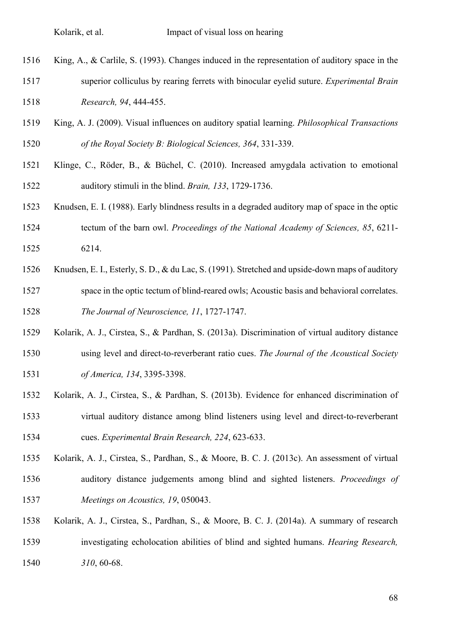- King, A., & Carlile, S. (1993). Changes induced in the representation of auditory space in the superior colliculus by rearing ferrets with binocular eyelid suture. *Experimental Brain Research, 94*, 444-455.
- King, A. J. (2009). Visual influences on auditory spatial learning. *Philosophical Transactions of the Royal Society B: Biological Sciences, 364*, 331-339.
- Klinge, C., Röder, B., & Büchel, C. (2010). Increased amygdala activation to emotional auditory stimuli in the blind. *Brain, 133*, 1729-1736.
- Knudsen, E. I. (1988). Early blindness results in a degraded auditory map of space in the optic tectum of the barn owl. *Proceedings of the National Academy of Sciences, 85*, 6211- 6214.
- Knudsen, E. I., Esterly, S. D., & du Lac, S. (1991). Stretched and upside-down maps of auditory space in the optic tectum of blind-reared owls; Acoustic basis and behavioral correlates. *The Journal of Neuroscience, 11*, 1727-1747.
- Kolarik, A. J., Cirstea, S., & Pardhan, S. (2013a). Discrimination of virtual auditory distance using level and direct-to-reverberant ratio cues. *The Journal of the Acoustical Society of America, 134*, 3395-3398.
- Kolarik, A. J., Cirstea, S., & Pardhan, S. (2013b). Evidence for enhanced discrimination of virtual auditory distance among blind listeners using level and direct-to-reverberant cues. *Experimental Brain Research, 224*, 623-633.
- Kolarik, A. J., Cirstea, S., Pardhan, S., & Moore, B. C. J. (2013c). An assessment of virtual
- auditory distance judgements among blind and sighted listeners. *Proceedings of Meetings on Acoustics, 19*, 050043.
- Kolarik, A. J., Cirstea, S., Pardhan, S., & Moore, B. C. J. (2014a). A summary of research investigating echolocation abilities of blind and sighted humans. *Hearing Research, 310*, 60-68.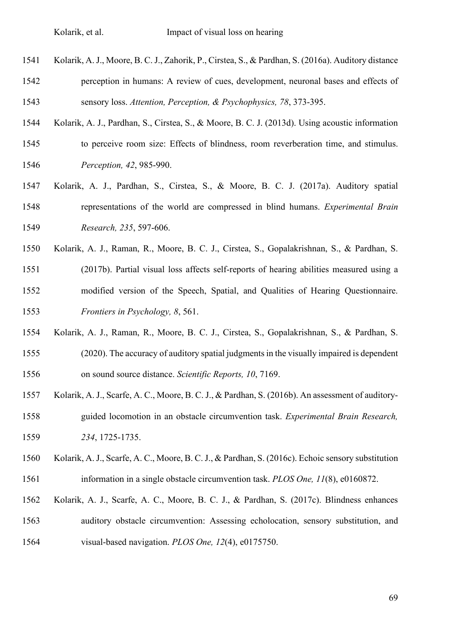- Kolarik, A. J., Moore, B. C. J., Zahorik, P., Cirstea, S., & Pardhan, S. (2016a). Auditory distance perception in humans: A review of cues, development, neuronal bases and effects of sensory loss. *Attention, Perception, & Psychophysics, 78*, 373-395.
- Kolarik, A. J., Pardhan, S., Cirstea, S., & Moore, B. C. J. (2013d). Using acoustic information
- to perceive room size: Effects of blindness, room reverberation time, and stimulus. *Perception, 42*, 985-990.
- Kolarik, A. J., Pardhan, S., Cirstea, S., & Moore, B. C. J. (2017a). Auditory spatial representations of the world are compressed in blind humans. *Experimental Brain Research, 235*, 597-606.
- Kolarik, A. J., Raman, R., Moore, B. C. J., Cirstea, S., Gopalakrishnan, S., & Pardhan, S. (2017b). Partial visual loss affects self-reports of hearing abilities measured using a modified version of the Speech, Spatial, and Qualities of Hearing Questionnaire. *Frontiers in Psychology, 8*, 561.
- Kolarik, A. J., Raman, R., Moore, B. C. J., Cirstea, S., Gopalakrishnan, S., & Pardhan, S. (2020). The accuracy of auditory spatial judgments in the visually impaired is dependent on sound source distance. *Scientific Reports, 10*, 7169.
- Kolarik, A. J., Scarfe, A. C., Moore, B. C. J., & Pardhan, S. (2016b). An assessment of auditory- guided locomotion in an obstacle circumvention task. *Experimental Brain Research, 234*, 1725-1735.
- Kolarik, A. J., Scarfe, A. C., Moore, B. C. J., & Pardhan, S. (2016c). Echoic sensory substitution information in a single obstacle circumvention task. *PLOS One, 11*(8), e0160872.
- Kolarik, A. J., Scarfe, A. C., Moore, B. C. J., & Pardhan, S. (2017c). Blindness enhances auditory obstacle circumvention: Assessing echolocation, sensory substitution, and
- visual-based navigation. *PLOS One, 12*(4), e0175750.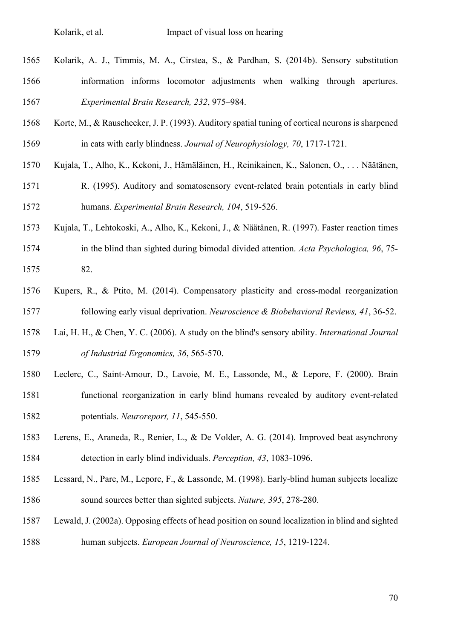- Kolarik, A. J., Timmis, M. A., Cirstea, S., & Pardhan, S. (2014b). Sensory substitution information informs locomotor adjustments when walking through apertures. *Experimental Brain Research, 232*, 975–984.
- Korte, M., & Rauschecker, J. P. (1993). Auditory spatial tuning of cortical neurons is sharpened in cats with early blindness. *Journal of Neurophysiology, 70*, 1717-1721.
- Kujala, T., Alho, K., Kekoni, J., Hämäläinen, H., Reinikainen, K., Salonen, O., . . . Näätänen,
- R. (1995). Auditory and somatosensory event-related brain potentials in early blind humans. *Experimental Brain Research, 104*, 519-526.
- Kujala, T., Lehtokoski, A., Alho, K., Kekoni, J., & Näätänen, R. (1997). Faster reaction times in the blind than sighted during bimodal divided attention. *Acta Psychologica, 96*, 75- 82.
- Kupers, R., & Ptito, M. (2014). Compensatory plasticity and cross-modal reorganization following early visual deprivation. *Neuroscience & Biobehavioral Reviews, 41*, 36-52.
- Lai, H. H., & Chen, Y. C. (2006). A study on the blind's sensory ability. *International Journal of Industrial Ergonomics, 36*, 565-570.
- Leclerc, C., Saint-Amour, D., Lavoie, M. E., Lassonde, M., & Lepore, F. (2000). Brain functional reorganization in early blind humans revealed by auditory event-related potentials. *Neuroreport, 11*, 545-550.
- Lerens, E., Araneda, R., Renier, L., & De Volder, A. G. (2014). Improved beat asynchrony detection in early blind individuals. *Perception, 43*, 1083-1096.
- Lessard, N., Pare, M., Lepore, F., & Lassonde, M. (1998). Early-blind human subjects localize sound sources better than sighted subjects. *Nature, 395*, 278-280.
- Lewald, J. (2002a). Opposing effects of head position on sound localization in blind and sighted human subjects. *European Journal of Neuroscience, 15*, 1219-1224.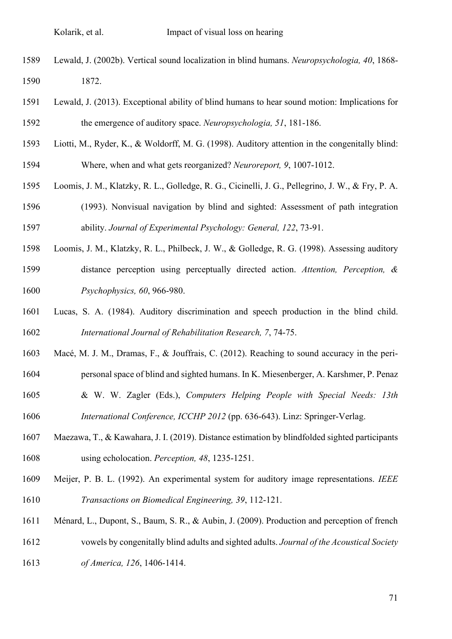- Lewald, J. (2002b). Vertical sound localization in blind humans. *Neuropsychologia, 40*, 1868- 1872.
- Lewald, J. (2013). Exceptional ability of blind humans to hear sound motion: Implications for the emergence of auditory space. *Neuropsychologia, 51*, 181-186.
- Liotti, M., Ryder, K., & Woldorff, M. G. (1998). Auditory attention in the congenitally blind: Where, when and what gets reorganized? *Neuroreport, 9*, 1007-1012.
- Loomis, J. M., Klatzky, R. L., Golledge, R. G., Cicinelli, J. G., Pellegrino, J. W., & Fry, P. A.
- (1993). Nonvisual navigation by blind and sighted: Assessment of path integration ability. *Journal of Experimental Psychology: General, 122*, 73-91.
- Loomis, J. M., Klatzky, R. L., Philbeck, J. W., & Golledge, R. G. (1998). Assessing auditory distance perception using perceptually directed action. *Attention, Perception, & Psychophysics, 60*, 966-980.
- Lucas, S. A. (1984). Auditory discrimination and speech production in the blind child. *International Journal of Rehabilitation Research, 7*, 74-75.
- Macé, M. J. M., Dramas, F., & Jouffrais, C. (2012). Reaching to sound accuracy in the peri-
- personal space of blind and sighted humans. In K. Miesenberger, A. Karshmer, P. Penaz
- & W. W. Zagler (Eds.), *Computers Helping People with Special Needs: 13th International Conference, ICCHP 2012* (pp. 636-643). Linz: Springer-Verlag.
- Maezawa, T., & Kawahara, J. I. (2019). Distance estimation by blindfolded sighted participants using echolocation. *Perception, 48*, 1235-1251.
- Meijer, P. B. L. (1992). An experimental system for auditory image representations. *IEEE Transactions on Biomedical Engineering, 39*, 112-121.
- Ménard, L., Dupont, S., Baum, S. R., & Aubin, J. (2009). Production and perception of french vowels by congenitally blind adults and sighted adults. *Journal of the Acoustical Society of America, 126*, 1406-1414.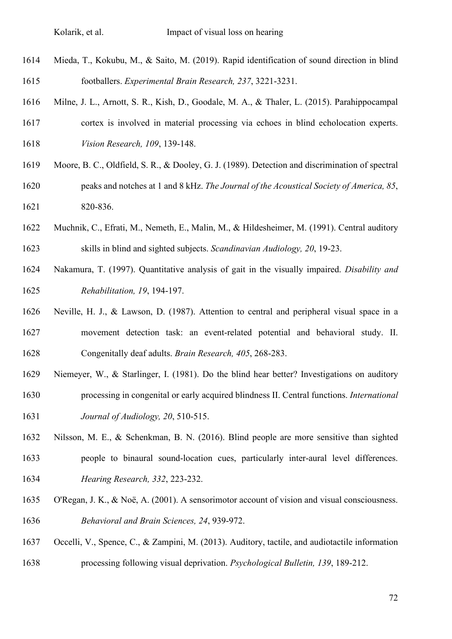- Mieda, T., Kokubu, M., & Saito, M. (2019). Rapid identification of sound direction in blind footballers. *Experimental Brain Research, 237*, 3221-3231.
- Milne, J. L., Arnott, S. R., Kish, D., Goodale, M. A., & Thaler, L. (2015). Parahippocampal cortex is involved in material processing via echoes in blind echolocation experts.
- *Vision Research, 109*, 139-148.
- Moore, B. C., Oldfield, S. R., & Dooley, G. J. (1989). Detection and discrimination of spectral peaks and notches at 1 and 8 kHz. *The Journal of the Acoustical Society of America, 85*, 820-836.
- Muchnik, C., Efrati, M., Nemeth, E., Malin, M., & Hildesheimer, M. (1991). Central auditory skills in blind and sighted subjects. *Scandinavian Audiology, 20*, 19-23.
- Nakamura, T. (1997). Quantitative analysis of gait in the visually impaired. *Disability and Rehabilitation, 19*, 194-197.
- Neville, H. J., & Lawson, D. (1987). Attention to central and peripheral visual space in a movement detection task: an event-related potential and behavioral study. II. Congenitally deaf adults. *Brain Research, 405*, 268-283.
- Niemeyer, W., & Starlinger, I. (1981). Do the blind hear better? Investigations on auditory processing in congenital or early acquired blindness II. Central functions. *International Journal of Audiology, 20*, 510-515.
- Nilsson, M. E., & Schenkman, B. N. (2016). Blind people are more sensitive than sighted people to binaural sound-location cues, particularly inter-aural level differences. *Hearing Research, 332*, 223-232.
- O'Regan, J. K., & Noë, A. (2001). A sensorimotor account of vision and visual consciousness. *Behavioral and Brain Sciences, 24*, 939-972.
- Occelli, V., Spence, C., & Zampini, M. (2013). Auditory, tactile, and audiotactile information processing following visual deprivation. *Psychological Bulletin, 139*, 189-212.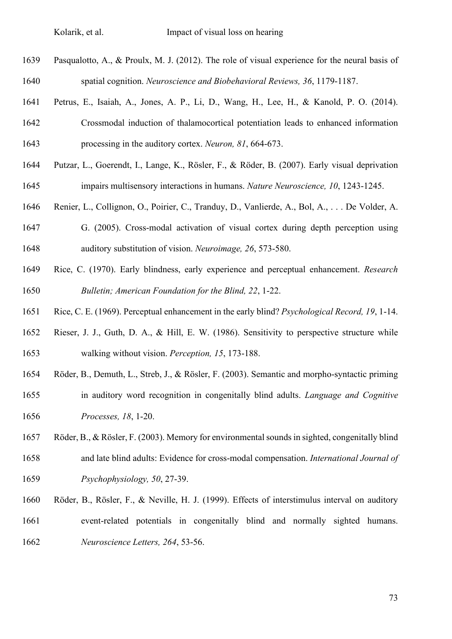- Pasqualotto, A., & Proulx, M. J. (2012). The role of visual experience for the neural basis of spatial cognition. *Neuroscience and Biobehavioral Reviews, 36*, 1179-1187.
- Petrus, E., Isaiah, A., Jones, A. P., Li, D., Wang, H., Lee, H., & Kanold, P. O. (2014).
- Crossmodal induction of thalamocortical potentiation leads to enhanced information processing in the auditory cortex. *Neuron, 81*, 664-673.
- Putzar, L., Goerendt, I., Lange, K., Rösler, F., & Röder, B. (2007). Early visual deprivation impairs multisensory interactions in humans. *Nature Neuroscience, 10*, 1243-1245.
- Renier, L., Collignon, O., Poirier, C., Tranduy, D., Vanlierde, A., Bol, A., . . . De Volder, A.
- G. (2005). Cross-modal activation of visual cortex during depth perception using auditory substitution of vision. *Neuroimage, 26*, 573-580.
- Rice, C. (1970). Early blindness, early experience and perceptual enhancement. *Research Bulletin; American Foundation for the Blind, 22*, 1-22.
- Rice, C. E. (1969). Perceptual enhancement in the early blind? *Psychological Record, 19*, 1-14.
- Rieser, J. J., Guth, D. A., & Hill, E. W. (1986). Sensitivity to perspective structure while walking without vision. *Perception, 15*, 173-188.
- Röder, B., Demuth, L., Streb, J., & Rösler, F. (2003). Semantic and morpho-syntactic priming in auditory word recognition in congenitally blind adults. *Language and Cognitive Processes, 18*, 1-20.
- Röder, B., & Rösler, F. (2003). Memory for environmental sounds in sighted, congenitally blind and late blind adults: Evidence for cross-modal compensation. *International Journal of Psychophysiology, 50*, 27-39.
- Röder, B., Rösler, F., & Neville, H. J. (1999). Effects of interstimulus interval on auditory
- event-related potentials in congenitally blind and normally sighted humans. *Neuroscience Letters, 264*, 53-56.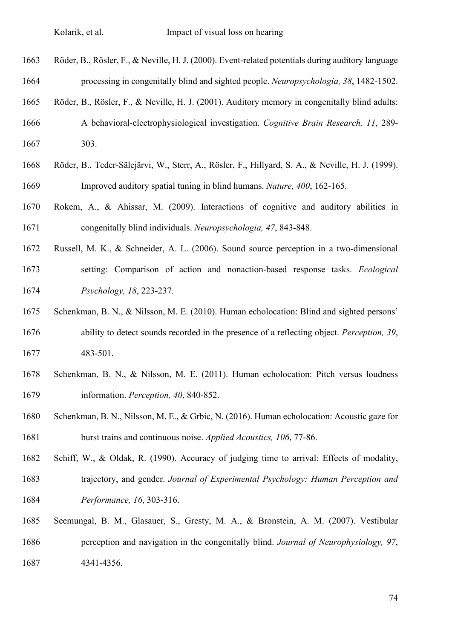- Röder, B., Rösler, F., & Neville, H. J. (2000). Event-related potentials during auditory language processing in congenitally blind and sighted people. *Neuropsychologia, 38*, 1482-1502.
- Röder, B., Rösler, F., & Neville, H. J. (2001). Auditory memory in congenitally blind adults:
- A behavioral-electrophysiological investigation. *Cognitive Brain Research, 11*, 289- 303.
- Röder, B., Teder-Sälejärvi, W., Sterr, A., Rösler, F., Hillyard, S. A., & Neville, H. J. (1999). Improved auditory spatial tuning in blind humans. *Nature, 400*, 162-165.
- Rokem, A., & Ahissar, M. (2009). Interactions of cognitive and auditory abilities in congenitally blind individuals. *Neuropsychologia, 47*, 843-848.
- Russell, M. K., & Schneider, A. L. (2006). Sound source perception in a two-dimensional setting: Comparison of action and nonaction-based response tasks. *Ecological Psychology, 18*, 223-237.
- Schenkman, B. N., & Nilsson, M. E. (2010). Human echolocation: Blind and sighted persons' ability to detect sounds recorded in the presence of a reflecting object. *Perception, 39*, 483-501.
- Schenkman, B. N., & Nilsson, M. E. (2011). Human echolocation: Pitch versus loudness information. *Perception, 40*, 840-852.
- Schenkman, B. N., Nilsson, M. E., & Grbic, N. (2016). Human echolocation: Acoustic gaze for burst trains and continuous noise. *Applied Acoustics, 106*, 77-86.
- Schiff, W., & Oldak, R. (1990). Accuracy of judging time to arrival: Effects of modality, trajectory, and gender. *Journal of Experimental Psychology: Human Perception and Performance, 16*, 303-316.
- Seemungal, B. M., Glasauer, S., Gresty, M. A., & Bronstein, A. M. (2007). Vestibular perception and navigation in the congenitally blind. *Journal of Neurophysiology, 97*, 4341-4356.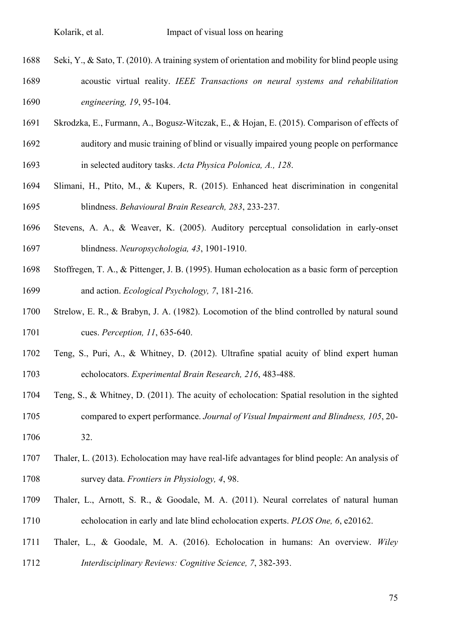Seki, Y., & Sato, T. (2010). A training system of orientation and mobility for blind people using

- acoustic virtual reality. *IEEE Transactions on neural systems and rehabilitation engineering, 19*, 95-104.
- Skrodzka, E., Furmann, A., Bogusz-Witczak, E., & Hojan, E. (2015). Comparison of effects of
- auditory and music training of blind or visually impaired young people on performance in selected auditory tasks. *Acta Physica Polonica, A., 128*.
- Slimani, H., Ptito, M., & Kupers, R. (2015). Enhanced heat discrimination in congenital blindness. *Behavioural Brain Research, 283*, 233-237.
- Stevens, A. A., & Weaver, K. (2005). Auditory perceptual consolidation in early-onset blindness. *Neuropsychologia, 43*, 1901-1910.
- Stoffregen, T. A., & Pittenger, J. B. (1995). Human echolocation as a basic form of perception and action. *Ecological Psychology, 7*, 181-216.
- Strelow, E. R., & Brabyn, J. A. (1982). Locomotion of the blind controlled by natural sound cues. *Perception, 11*, 635-640.
- Teng, S., Puri, A., & Whitney, D. (2012). Ultrafine spatial acuity of blind expert human echolocators. *Experimental Brain Research, 216*, 483-488.
- Teng, S., & Whitney, D. (2011). The acuity of echolocation: Spatial resolution in the sighted compared to expert performance. *Journal of Visual Impairment and Blindness, 105*, 20- 32.
- Thaler, L. (2013). Echolocation may have real-life advantages for blind people: An analysis of survey data. *Frontiers in Physiology, 4*, 98.
- Thaler, L., Arnott, S. R., & Goodale, M. A. (2011). Neural correlates of natural human echolocation in early and late blind echolocation experts. *PLOS One, 6*, e20162.
- Thaler, L., & Goodale, M. A. (2016). Echolocation in humans: An overview. *Wiley Interdisciplinary Reviews: Cognitive Science, 7*, 382-393.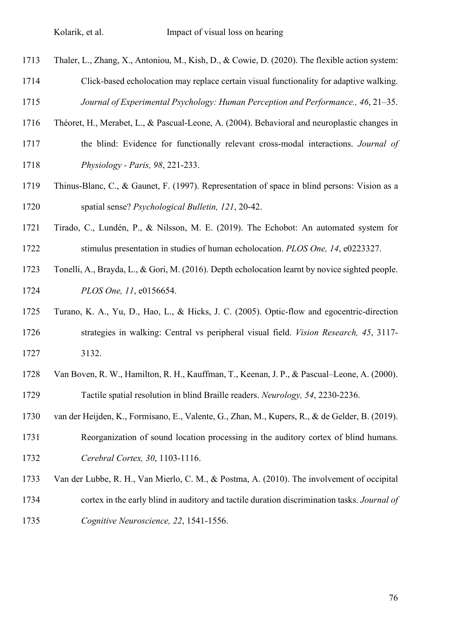- Thaler, L., Zhang, X., Antoniou, M., Kish, D., & Cowie, D. (2020). The flexible action system:
- Click-based echolocation may replace certain visual functionality for adaptive walking.

*Journal of Experimental Psychology: Human Perception and Performance., 46*, 21–35.

- Théoret, H., Merabet, L., & Pascual-Leone, A. (2004). Behavioral and neuroplastic changes in
- the blind: Evidence for functionally relevant cross-modal interactions. *Journal of Physiology - Paris, 98*, 221-233.
- Thinus-Blanc, C., & Gaunet, F. (1997). Representation of space in blind persons: Vision as a spatial sense? *Psychological Bulletin, 121*, 20-42.
- Tirado, C., Lundén, P., & Nilsson, M. E. (2019). The Echobot: An automated system for stimulus presentation in studies of human echolocation. *PLOS One, 14*, e0223327.
- Tonelli, A., Brayda, L., & Gori, M. (2016). Depth echolocation learnt by novice sighted people. *PLOS One, 11*, e0156654.
- Turano, K. A., Yu, D., Hao, L., & Hicks, J. C. (2005). Optic-flow and egocentric-direction strategies in walking: Central vs peripheral visual field. *Vision Research, 45*, 3117- 3132.
- Van Boven, R. W., Hamilton, R. H., Kauffman, T., Keenan, J. P., & Pascual–Leone, A. (2000). Tactile spatial resolution in blind Braille readers. *Neurology, 54*, 2230-2236.
- van der Heijden, K., Formisano, E., Valente, G., Zhan, M., Kupers, R., & de Gelder, B. (2019).
- Reorganization of sound location processing in the auditory cortex of blind humans. *Cerebral Cortex, 30*, 1103-1116.
- Van der Lubbe, R. H., Van Mierlo, C. M., & Postma, A. (2010). The involvement of occipital
- cortex in the early blind in auditory and tactile duration discrimination tasks. *Journal of*
- *Cognitive Neuroscience, 22*, 1541-1556.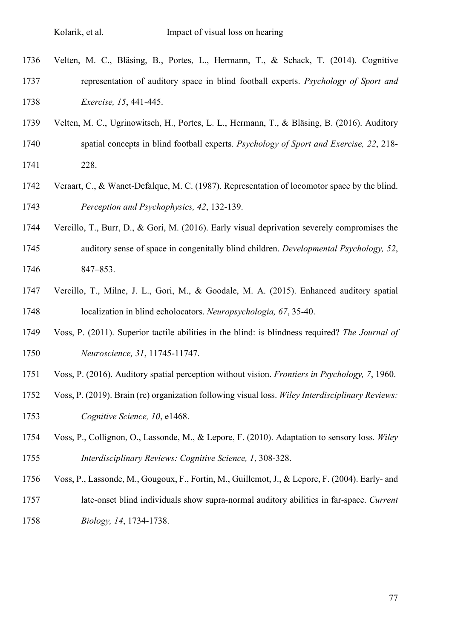- Velten, M. C., Bläsing, B., Portes, L., Hermann, T., & Schack, T. (2014). Cognitive representation of auditory space in blind football experts. *Psychology of Sport and Exercise, 15*, 441-445.
- Velten, M. C., Ugrinowitsch, H., Portes, L. L., Hermann, T., & Bläsing, B. (2016). Auditory spatial concepts in blind football experts. *Psychology of Sport and Exercise, 22*, 218- 228.
- Veraart, C., & Wanet-Defalque, M. C. (1987). Representation of locomotor space by the blind. *Perception and Psychophysics, 42*, 132-139.
- Vercillo, T., Burr, D., & Gori, M. (2016). Early visual deprivation severely compromises the auditory sense of space in congenitally blind children. *Developmental Psychology, 52*, 847–853.
- Vercillo, T., Milne, J. L., Gori, M., & Goodale, M. A. (2015). Enhanced auditory spatial localization in blind echolocators. *Neuropsychologia, 67*, 35-40.
- Voss, P. (2011). Superior tactile abilities in the blind: is blindness required? *The Journal of Neuroscience, 31*, 11745-11747.
- Voss, P. (2016). Auditory spatial perception without vision. *Frontiers in Psychology, 7*, 1960.
- Voss, P. (2019). Brain (re) organization following visual loss. *Wiley Interdisciplinary Reviews: Cognitive Science, 10*, e1468.
- Voss, P., Collignon, O., Lassonde, M., & Lepore, F. (2010). Adaptation to sensory loss. *Wiley Interdisciplinary Reviews: Cognitive Science, 1*, 308-328.
- Voss, P., Lassonde, M., Gougoux, F., Fortin, M., Guillemot, J., & Lepore, F. (2004). Early- and
- late-onset blind individuals show supra-normal auditory abilities in far-space. *Current Biology, 14*, 1734-1738.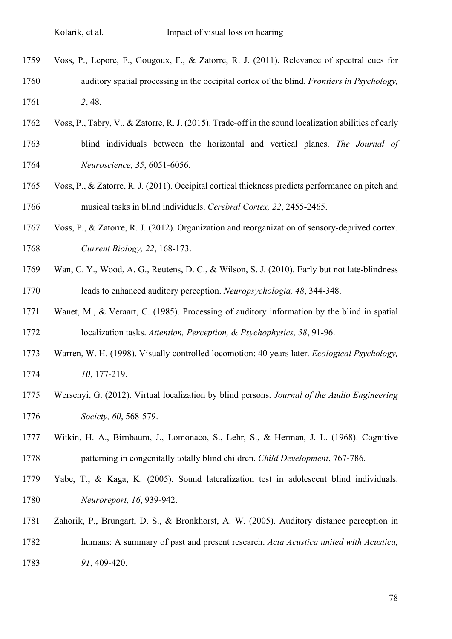- Voss, P., Lepore, F., Gougoux, F., & Zatorre, R. J. (2011). Relevance of spectral cues for auditory spatial processing in the occipital cortex of the blind. *Frontiers in Psychology, 2*, 48.
- Voss, P., Tabry, V., & Zatorre, R. J. (2015). Trade-off in the sound localization abilities of early blind individuals between the horizontal and vertical planes. *The Journal of*
- *Neuroscience, 35*, 6051-6056.
- Voss, P., & Zatorre, R. J. (2011). Occipital cortical thickness predicts performance on pitch and musical tasks in blind individuals. *Cerebral Cortex, 22*, 2455-2465.
- Voss, P., & Zatorre, R. J. (2012). Organization and reorganization of sensory-deprived cortex. *Current Biology, 22*, 168-173.
- Wan, C. Y., Wood, A. G., Reutens, D. C., & Wilson, S. J. (2010). Early but not late-blindness leads to enhanced auditory perception. *Neuropsychologia, 48*, 344-348.
- Wanet, M., & Veraart, C. (1985). Processing of auditory information by the blind in spatial localization tasks. *Attention, Perception, & Psychophysics, 38*, 91-96.
- Warren, W. H. (1998). Visually controlled locomotion: 40 years later. *Ecological Psychology, 10*, 177-219.
- Wersenyi, G. (2012). Virtual localization by blind persons. *Journal of the Audio Engineering Society, 60*, 568-579.
- Witkin, H. A., Birnbaum, J., Lomonaco, S., Lehr, S., & Herman, J. L. (1968). Cognitive patterning in congenitally totally blind children. *Child Development*, 767-786.
- Yabe, T., & Kaga, K. (2005). Sound lateralization test in adolescent blind individuals. *Neuroreport, 16*, 939-942.
- Zahorik, P., Brungart, D. S., & Bronkhorst, A. W. (2005). Auditory distance perception in humans: A summary of past and present research. *Acta Acustica united with Acustica, 91*, 409-420.